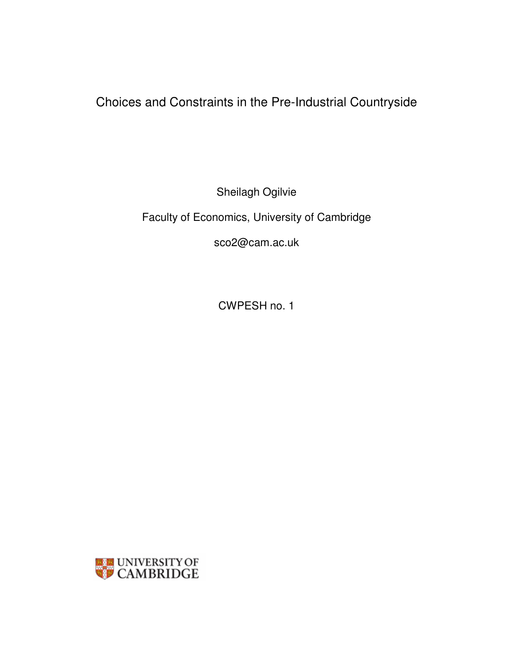Choices and Constraints in the Pre-Industrial Countryside

Sheilagh Ogilvie

Faculty of Economics, University of Cambridge

sco2@cam.ac.uk

CWPESH no. 1

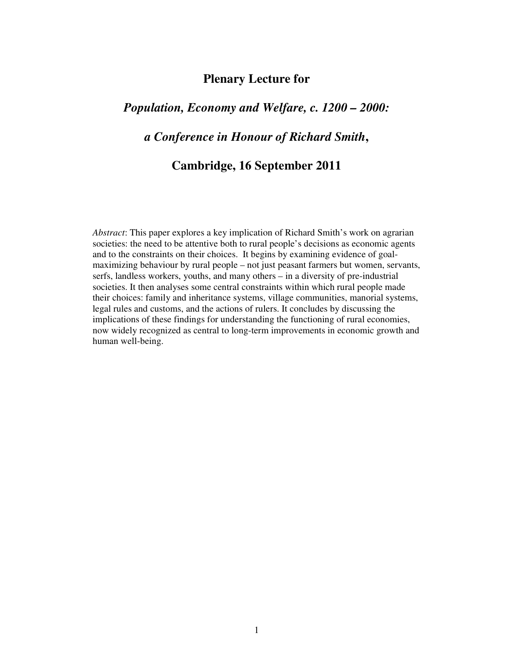# **Plenary Lecture for**

# *Population, Economy and Welfare, c. 1200 – 2000:*

# *a Conference in Honour of Richard Smith***,**

# **Cambridge, 16 September 2011**

*Abstract*: This paper explores a key implication of Richard Smith's work on agrarian societies: the need to be attentive both to rural people's decisions as economic agents and to the constraints on their choices. It begins by examining evidence of goalmaximizing behaviour by rural people – not just peasant farmers but women, servants, serfs, landless workers, youths, and many others – in a diversity of pre-industrial societies. It then analyses some central constraints within which rural people made their choices: family and inheritance systems, village communities, manorial systems, legal rules and customs, and the actions of rulers. It concludes by discussing the implications of these findings for understanding the functioning of rural economies, now widely recognized as central to long-term improvements in economic growth and human well-being.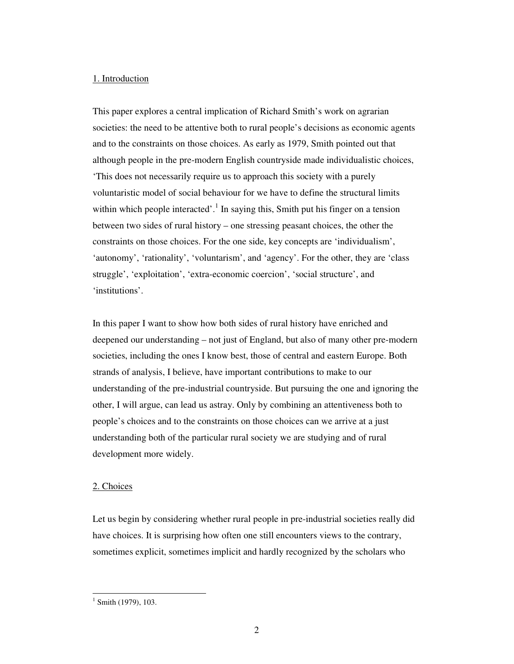### 1. Introduction

This paper explores a central implication of Richard Smith's work on agrarian societies: the need to be attentive both to rural people's decisions as economic agents and to the constraints on those choices. As early as 1979, Smith pointed out that although people in the pre-modern English countryside made individualistic choices, 'This does not necessarily require us to approach this society with a purely voluntaristic model of social behaviour for we have to define the structural limits within which people interacted'.<sup>1</sup> In saying this, Smith put his finger on a tension between two sides of rural history – one stressing peasant choices, the other the constraints on those choices. For the one side, key concepts are 'individualism', 'autonomy', 'rationality', 'voluntarism', and 'agency'. For the other, they are 'class struggle', 'exploitation', 'extra-economic coercion', 'social structure', and 'institutions'.

In this paper I want to show how both sides of rural history have enriched and deepened our understanding – not just of England, but also of many other pre-modern societies, including the ones I know best, those of central and eastern Europe. Both strands of analysis, I believe, have important contributions to make to our understanding of the pre-industrial countryside. But pursuing the one and ignoring the other, I will argue, can lead us astray. Only by combining an attentiveness both to people's choices and to the constraints on those choices can we arrive at a just understanding both of the particular rural society we are studying and of rural development more widely.

### 2. Choices

Let us begin by considering whether rural people in pre-industrial societies really did have choices. It is surprising how often one still encounters views to the contrary, sometimes explicit, sometimes implicit and hardly recognized by the scholars who

 $1$  Smith (1979), 103.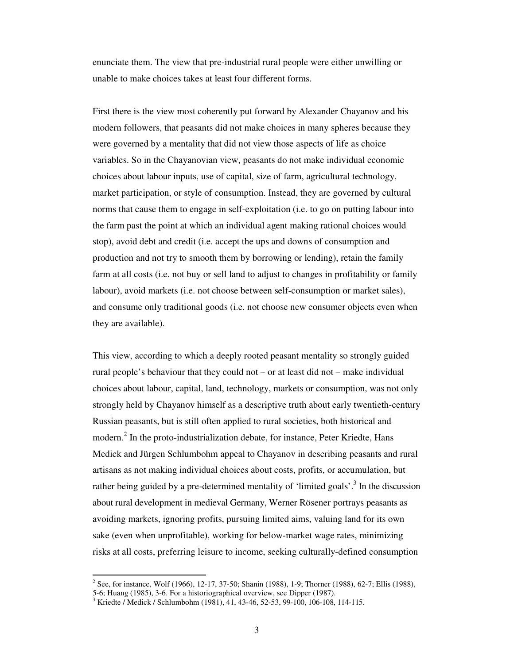enunciate them. The view that pre-industrial rural people were either unwilling or unable to make choices takes at least four different forms.

First there is the view most coherently put forward by Alexander Chayanov and his modern followers, that peasants did not make choices in many spheres because they were governed by a mentality that did not view those aspects of life as choice variables. So in the Chayanovian view, peasants do not make individual economic choices about labour inputs, use of capital, size of farm, agricultural technology, market participation, or style of consumption. Instead, they are governed by cultural norms that cause them to engage in self-exploitation (i.e. to go on putting labour into the farm past the point at which an individual agent making rational choices would stop), avoid debt and credit (i.e. accept the ups and downs of consumption and production and not try to smooth them by borrowing or lending), retain the family farm at all costs (i.e. not buy or sell land to adjust to changes in profitability or family labour), avoid markets (i.e. not choose between self-consumption or market sales), and consume only traditional goods (i.e. not choose new consumer objects even when they are available).

This view, according to which a deeply rooted peasant mentality so strongly guided rural people's behaviour that they could not – or at least did not – make individual choices about labour, capital, land, technology, markets or consumption, was not only strongly held by Chayanov himself as a descriptive truth about early twentieth-century Russian peasants, but is still often applied to rural societies, both historical and modern.<sup>2</sup> In the proto-industrialization debate, for instance, Peter Kriedte, Hans Medick and Jürgen Schlumbohm appeal to Chayanov in describing peasants and rural artisans as not making individual choices about costs, profits, or accumulation, but rather being guided by a pre-determined mentality of 'limited goals'.<sup>3</sup> In the discussion about rural development in medieval Germany, Werner Rösener portrays peasants as avoiding markets, ignoring profits, pursuing limited aims, valuing land for its own sake (even when unprofitable), working for below-market wage rates, minimizing risks at all costs, preferring leisure to income, seeking culturally-defined consumption

<sup>&</sup>lt;sup>2</sup> See, for instance, Wolf (1966), 12-17, 37-50; Shanin (1988), 1-9; Thorner (1988), 62-7; Ellis (1988),

<sup>5-6;</sup> Huang (1985), 3-6. For a historiographical overview, see Dipper (1987).

<sup>&</sup>lt;sup>3</sup> Kriedte / Medick / Schlumbohm (1981), 41, 43-46, 52-53, 99-100, 106-108, 114-115.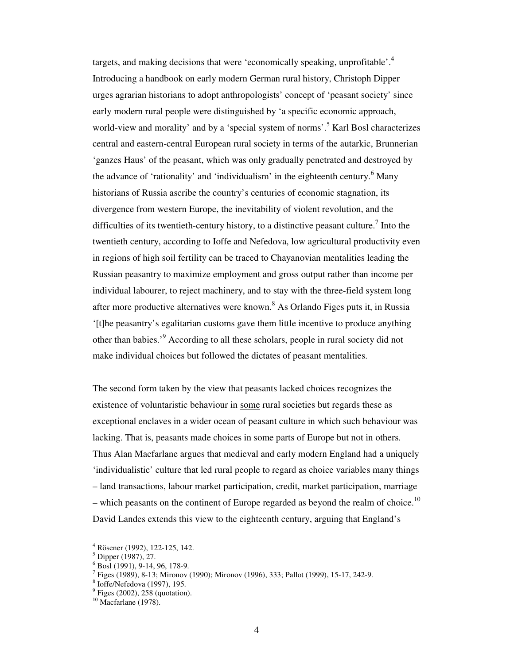targets, and making decisions that were 'economically speaking, unprofitable'.<sup>4</sup> Introducing a handbook on early modern German rural history, Christoph Dipper urges agrarian historians to adopt anthropologists' concept of 'peasant society' since early modern rural people were distinguished by 'a specific economic approach, world-view and morality' and by a 'special system of norms'.<sup>5</sup> Karl Bosl characterizes central and eastern-central European rural society in terms of the autarkic, Brunnerian 'ganzes Haus' of the peasant, which was only gradually penetrated and destroyed by the advance of 'rationality' and 'individualism' in the eighteenth century.<sup>6</sup> Many historians of Russia ascribe the country's centuries of economic stagnation, its divergence from western Europe, the inevitability of violent revolution, and the difficulties of its twentieth-century history, to a distinctive peasant culture.<sup>7</sup> Into the twentieth century, according to Ioffe and Nefedova, low agricultural productivity even in regions of high soil fertility can be traced to Chayanovian mentalities leading the Russian peasantry to maximize employment and gross output rather than income per individual labourer, to reject machinery, and to stay with the three-field system long after more productive alternatives were known.<sup>8</sup> As Orlando Figes puts it, in Russia '[t]he peasantry's egalitarian customs gave them little incentive to produce anything other than babies.<sup>9</sup> According to all these scholars, people in rural society did not make individual choices but followed the dictates of peasant mentalities.

The second form taken by the view that peasants lacked choices recognizes the existence of voluntaristic behaviour in some rural societies but regards these as exceptional enclaves in a wider ocean of peasant culture in which such behaviour was lacking. That is, peasants made choices in some parts of Europe but not in others. Thus Alan Macfarlane argues that medieval and early modern England had a uniquely 'individualistic' culture that led rural people to regard as choice variables many things – land transactions, labour market participation, credit, market participation, marriage – which peasants on the continent of Europe regarded as beyond the realm of choice.<sup>10</sup> David Landes extends this view to the eighteenth century, arguing that England's

<sup>4</sup> Rösener (1992), 122-125, 142.

<sup>5</sup> Dipper (1987), 27.

<sup>6</sup> Bosl (1991), 9-14, 96, 178-9.

<sup>7</sup> Figes (1989), 8-13; Mironov (1990); Mironov (1996), 333; Pallot (1999), 15-17, 242-9.

<sup>8</sup> Ioffe/Nefedova (1997), 195.

 $<sup>9</sup>$  Figes (2002), 258 (quotation).</sup>

 $10$  Macfarlane (1978).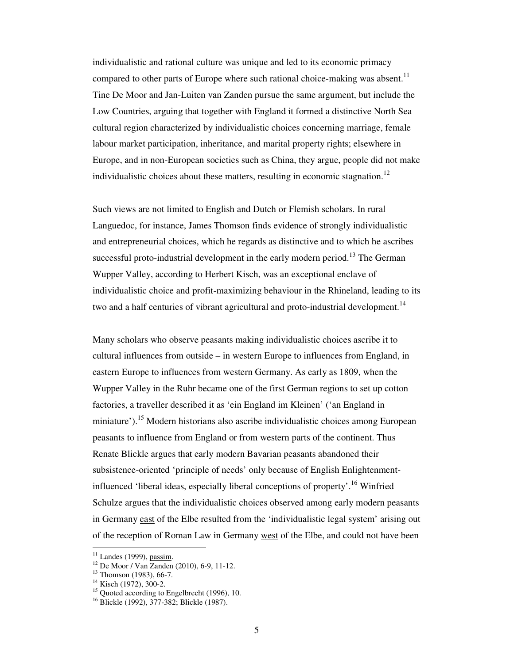individualistic and rational culture was unique and led to its economic primacy compared to other parts of Europe where such rational choice-making was absent.<sup>11</sup> Tine De Moor and Jan-Luiten van Zanden pursue the same argument, but include the Low Countries, arguing that together with England it formed a distinctive North Sea cultural region characterized by individualistic choices concerning marriage, female labour market participation, inheritance, and marital property rights; elsewhere in Europe, and in non-European societies such as China, they argue, people did not make individualistic choices about these matters, resulting in economic stagnation.<sup>12</sup>

Such views are not limited to English and Dutch or Flemish scholars. In rural Languedoc, for instance, James Thomson finds evidence of strongly individualistic and entrepreneurial choices, which he regards as distinctive and to which he ascribes successful proto-industrial development in the early modern period.<sup>13</sup> The German Wupper Valley, according to Herbert Kisch, was an exceptional enclave of individualistic choice and profit-maximizing behaviour in the Rhineland, leading to its two and a half centuries of vibrant agricultural and proto-industrial development.<sup>14</sup>

Many scholars who observe peasants making individualistic choices ascribe it to cultural influences from outside – in western Europe to influences from England, in eastern Europe to influences from western Germany. As early as 1809, when the Wupper Valley in the Ruhr became one of the first German regions to set up cotton factories, a traveller described it as 'ein England im Kleinen' ('an England in miniature').<sup>15</sup> Modern historians also ascribe individualistic choices among European peasants to influence from England or from western parts of the continent. Thus Renate Blickle argues that early modern Bavarian peasants abandoned their subsistence-oriented 'principle of needs' only because of English Enlightenmentinfluenced 'liberal ideas, especially liberal conceptions of property'.<sup>16</sup> Winfried Schulze argues that the individualistic choices observed among early modern peasants in Germany east of the Elbe resulted from the 'individualistic legal system' arising out of the reception of Roman Law in Germany west of the Elbe, and could not have been

 $11$  Landes (1999), passim.

<sup>12</sup> De Moor / Van Zanden (2010), 6-9, 11-12.

 $13$  Thomson (1983), 66-7.

<sup>&</sup>lt;sup>14</sup> Kisch (1972), 300-2.

<sup>&</sup>lt;sup>15</sup> Quoted according to Engelbrecht (1996), 10.

<sup>&</sup>lt;sup>16</sup> Blickle (1992), 377-382; Blickle (1987).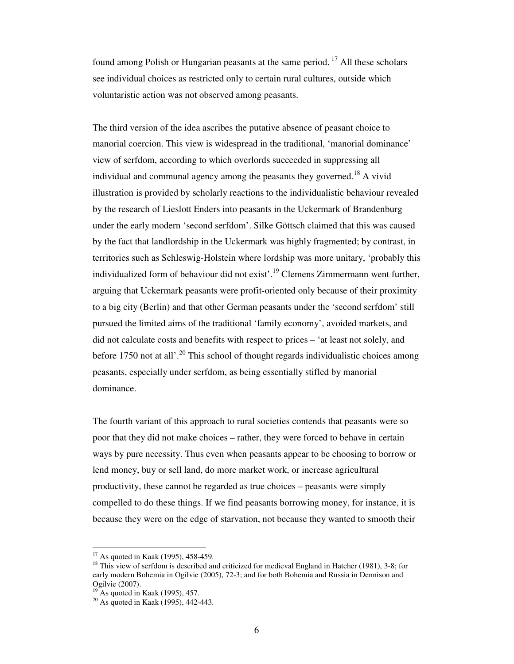found among Polish or Hungarian peasants at the same period.<sup>17</sup> All these scholars see individual choices as restricted only to certain rural cultures, outside which voluntaristic action was not observed among peasants.

The third version of the idea ascribes the putative absence of peasant choice to manorial coercion. This view is widespread in the traditional, 'manorial dominance' view of serfdom, according to which overlords succeeded in suppressing all individual and communal agency among the peasants they governed.<sup>18</sup> A vivid illustration is provided by scholarly reactions to the individualistic behaviour revealed by the research of Lieslott Enders into peasants in the Uckermark of Brandenburg under the early modern 'second serfdom'. Silke Göttsch claimed that this was caused by the fact that landlordship in the Uckermark was highly fragmented; by contrast, in territories such as Schleswig-Holstein where lordship was more unitary, 'probably this individualized form of behaviour did not exist'.<sup>19</sup> Clemens Zimmermann went further, arguing that Uckermark peasants were profit-oriented only because of their proximity to a big city (Berlin) and that other German peasants under the 'second serfdom' still pursued the limited aims of the traditional 'family economy', avoided markets, and did not calculate costs and benefits with respect to prices – 'at least not solely, and before 1750 not at all'.<sup>20</sup> This school of thought regards individualistic choices among peasants, especially under serfdom, as being essentially stifled by manorial dominance.

The fourth variant of this approach to rural societies contends that peasants were so poor that they did not make choices – rather, they were forced to behave in certain ways by pure necessity. Thus even when peasants appear to be choosing to borrow or lend money, buy or sell land, do more market work, or increase agricultural productivity, these cannot be regarded as true choices – peasants were simply compelled to do these things. If we find peasants borrowing money, for instance, it is because they were on the edge of starvation, not because they wanted to smooth their

 $17$  As quoted in Kaak (1995), 458-459.

<sup>&</sup>lt;sup>18</sup> This view of serfdom is described and criticized for medieval England in Hatcher (1981), 3-8; for early modern Bohemia in Ogilvie (2005), 72-3; and for both Bohemia and Russia in Dennison and Ogilvie (2007).

 $19^{\circ}$  As quoted in Kaak (1995), 457.

<sup>20</sup> As quoted in Kaak (1995), 442-443.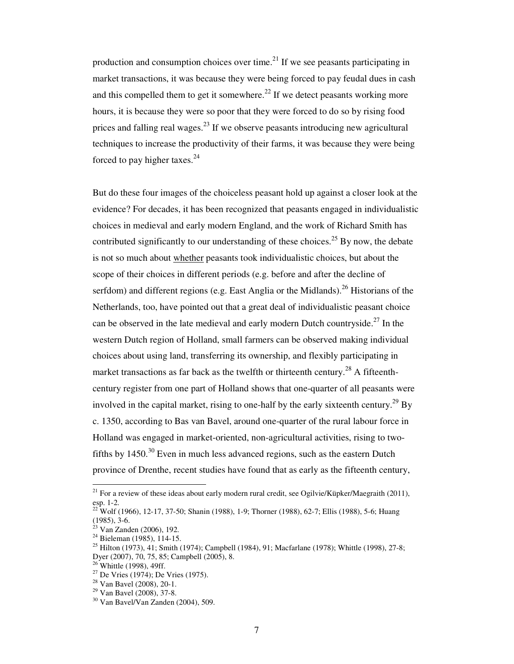production and consumption choices over time.<sup>21</sup> If we see peasants participating in market transactions, it was because they were being forced to pay feudal dues in cash and this compelled them to get it somewhere.<sup>22</sup> If we detect peasants working more hours, it is because they were so poor that they were forced to do so by rising food prices and falling real wages.<sup>23</sup> If we observe peasants introducing new agricultural techniques to increase the productivity of their farms, it was because they were being forced to pay higher taxes. $^{24}$ 

But do these four images of the choiceless peasant hold up against a closer look at the evidence? For decades, it has been recognized that peasants engaged in individualistic choices in medieval and early modern England, and the work of Richard Smith has contributed significantly to our understanding of these choices.<sup>25</sup> By now, the debate is not so much about whether peasants took individualistic choices, but about the scope of their choices in different periods (e.g. before and after the decline of serfdom) and different regions (e.g. East Anglia or the Midlands).<sup>26</sup> Historians of the Netherlands, too, have pointed out that a great deal of individualistic peasant choice can be observed in the late medieval and early modern Dutch countryside.<sup>27</sup> In the western Dutch region of Holland, small farmers can be observed making individual choices about using land, transferring its ownership, and flexibly participating in market transactions as far back as the twelfth or thirteenth century.<sup>28</sup> A fifteenthcentury register from one part of Holland shows that one-quarter of all peasants were involved in the capital market, rising to one-half by the early sixteenth century.<sup>29</sup> By c. 1350, according to Bas van Bavel, around one-quarter of the rural labour force in Holland was engaged in market-oriented, non-agricultural activities, rising to twofifths by  $1450<sup>30</sup>$  Even in much less advanced regions, such as the eastern Dutch province of Drenthe, recent studies have found that as early as the fifteenth century,

<sup>&</sup>lt;sup>21</sup> For a review of these ideas about early modern rural credit, see Ogilvie/Küpker/Maegraith (2011), esp. 1-2.

 $^{22}$  Wolf (1966), 12-17, 37-50; Shanin (1988), 1-9; Thorner (1988), 62-7; Ellis (1988), 5-6; Huang (1985), 3-6.

 $23$  Van Zanden (2006), 192.

<sup>24</sup> Bieleman (1985), 114-15.

<sup>&</sup>lt;sup>25</sup> Hilton (1973), 41; Smith (1974); Campbell (1984), 91; Macfarlane (1978); Whittle (1998), 27-8; Dyer (2007), 70, 75, 85; Campbell (2005), 8.

 $26$  Whittle (1998), 49ff.

 $27$  De Vries (1974); De Vries (1975).

<sup>28</sup> Van Bavel (2008), 20-1.

 $29$  Van Bavel (2008), 37-8.

 $30$  Van Bavel/Van Zanden (2004), 509.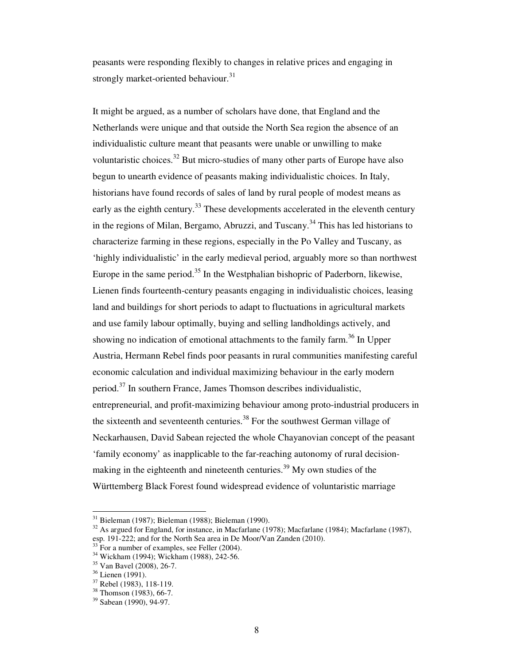peasants were responding flexibly to changes in relative prices and engaging in strongly market-oriented behaviour. $31$ 

It might be argued, as a number of scholars have done, that England and the Netherlands were unique and that outside the North Sea region the absence of an individualistic culture meant that peasants were unable or unwilling to make voluntaristic choices.<sup>32</sup> But micro-studies of many other parts of Europe have also begun to unearth evidence of peasants making individualistic choices. In Italy, historians have found records of sales of land by rural people of modest means as early as the eighth century.<sup>33</sup> These developments accelerated in the eleventh century in the regions of Milan, Bergamo, Abruzzi, and Tuscany.<sup>34</sup> This has led historians to characterize farming in these regions, especially in the Po Valley and Tuscany, as 'highly individualistic' in the early medieval period, arguably more so than northwest Europe in the same period.<sup>35</sup> In the Westphalian bishopric of Paderborn, likewise, Lienen finds fourteenth-century peasants engaging in individualistic choices, leasing land and buildings for short periods to adapt to fluctuations in agricultural markets and use family labour optimally, buying and selling landholdings actively, and showing no indication of emotional attachments to the family farm.<sup>36</sup> In Upper Austria, Hermann Rebel finds poor peasants in rural communities manifesting careful economic calculation and individual maximizing behaviour in the early modern period.<sup>37</sup> In southern France, James Thomson describes individualistic, entrepreneurial, and profit-maximizing behaviour among proto-industrial producers in the sixteenth and seventeenth centuries.<sup>38</sup> For the southwest German village of Neckarhausen, David Sabean rejected the whole Chayanovian concept of the peasant 'family economy' as inapplicable to the far-reaching autonomy of rural decisionmaking in the eighteenth and nineteenth centuries.<sup>39</sup> My own studies of the Württemberg Black Forest found widespread evidence of voluntaristic marriage

<sup>31</sup> Bieleman (1987); Bieleman (1988); Bieleman (1990).

 $32$  As argued for England, for instance, in Macfarlane (1978); Macfarlane (1984); Macfarlane (1987), esp. 191-222; and for the North Sea area in De Moor/Van Zanden (2010).

 $33$  For a number of examples, see Feller (2004).

<sup>&</sup>lt;sup>34</sup> Wickham (1994); Wickham (1988), 242-56.

<sup>35</sup> Van Bavel (2008), 26-7.

<sup>36</sup> Lienen (1991).

<sup>37</sup> Rebel (1983), 118-119.

<sup>38</sup> Thomson (1983), 66-7.

<sup>39</sup> Sabean (1990), 94-97.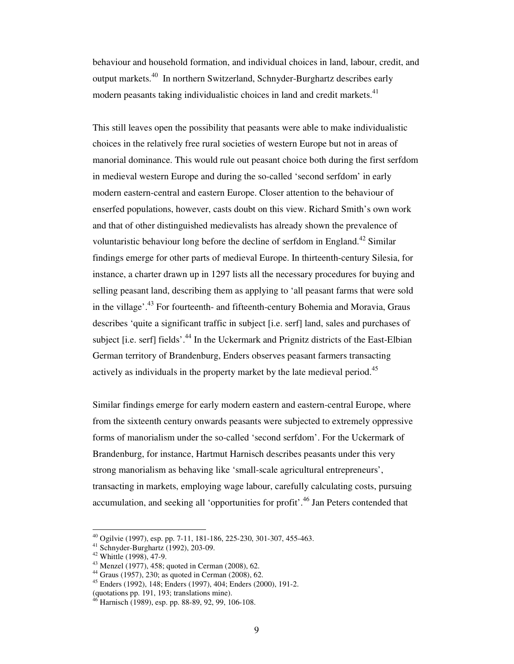behaviour and household formation, and individual choices in land, labour, credit, and output markets.<sup>40</sup> In northern Switzerland, Schnyder-Burghartz describes early modern peasants taking individualistic choices in land and credit markets.<sup>41</sup>

This still leaves open the possibility that peasants were able to make individualistic choices in the relatively free rural societies of western Europe but not in areas of manorial dominance. This would rule out peasant choice both during the first serfdom in medieval western Europe and during the so-called 'second serfdom' in early modern eastern-central and eastern Europe. Closer attention to the behaviour of enserfed populations, however, casts doubt on this view. Richard Smith's own work and that of other distinguished medievalists has already shown the prevalence of voluntaristic behaviour long before the decline of serfdom in England.<sup>42</sup> Similar findings emerge for other parts of medieval Europe. In thirteenth-century Silesia, for instance, a charter drawn up in 1297 lists all the necessary procedures for buying and selling peasant land, describing them as applying to 'all peasant farms that were sold in the village'.<sup>43</sup> For fourteenth- and fifteenth-century Bohemia and Moravia, Graus describes 'quite a significant traffic in subject [i.e. serf] land, sales and purchases of subject [i.e. serf] fields'.<sup>44</sup> In the Uckermark and Prignitz districts of the East-Elbian German territory of Brandenburg, Enders observes peasant farmers transacting actively as individuals in the property market by the late medieval period.<sup>45</sup>

Similar findings emerge for early modern eastern and eastern-central Europe, where from the sixteenth century onwards peasants were subjected to extremely oppressive forms of manorialism under the so-called 'second serfdom'. For the Uckermark of Brandenburg, for instance, Hartmut Harnisch describes peasants under this very strong manorialism as behaving like 'small-scale agricultural entrepreneurs', transacting in markets, employing wage labour, carefully calculating costs, pursuing accumulation, and seeking all 'opportunities for profit'.<sup>46</sup> Jan Peters contended that

<sup>40</sup> Ogilvie (1997), esp. pp. 7-11, 181-186, 225-230, 301-307, 455-463.

<sup>41</sup> Schnyder-Burghartz (1992), 203-09.

 $42$  Whittle (1998), 47-9.

<sup>43</sup> Menzel (1977), 458; quoted in Cerman (2008), 62.

<sup>44</sup> Graus (1957), 230; as quoted in Cerman (2008), 62.

<sup>45</sup> Enders (1992), 148; Enders (1997), 404; Enders (2000), 191-2.

<sup>(</sup>quotations pp. 191, 193; translations mine).

 $\frac{1}{6}$  Harnisch (1989), esp. pp. 88-89, 92, 99, 106-108.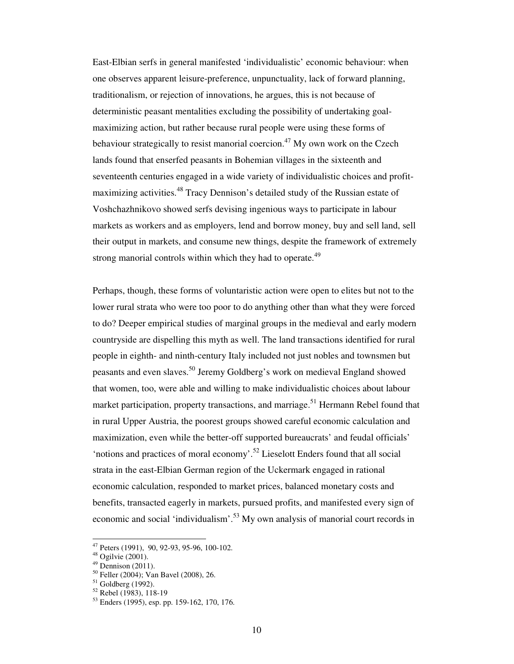East-Elbian serfs in general manifested 'individualistic' economic behaviour: when one observes apparent leisure-preference, unpunctuality, lack of forward planning, traditionalism, or rejection of innovations, he argues, this is not because of deterministic peasant mentalities excluding the possibility of undertaking goalmaximizing action, but rather because rural people were using these forms of behaviour strategically to resist manorial coercion.<sup>47</sup> My own work on the Czech lands found that enserfed peasants in Bohemian villages in the sixteenth and seventeenth centuries engaged in a wide variety of individualistic choices and profitmaximizing activities.<sup>48</sup> Tracy Dennison's detailed study of the Russian estate of Voshchazhnikovo showed serfs devising ingenious ways to participate in labour markets as workers and as employers, lend and borrow money, buy and sell land, sell their output in markets, and consume new things, despite the framework of extremely strong manorial controls within which they had to operate.<sup>49</sup>

Perhaps, though, these forms of voluntaristic action were open to elites but not to the lower rural strata who were too poor to do anything other than what they were forced to do? Deeper empirical studies of marginal groups in the medieval and early modern countryside are dispelling this myth as well. The land transactions identified for rural people in eighth- and ninth-century Italy included not just nobles and townsmen but peasants and even slaves.<sup>50</sup> Jeremy Goldberg's work on medieval England showed that women, too, were able and willing to make individualistic choices about labour market participation, property transactions, and marriage.<sup>51</sup> Hermann Rebel found that in rural Upper Austria, the poorest groups showed careful economic calculation and maximization, even while the better-off supported bureaucrats' and feudal officials' 'notions and practices of moral economy'.<sup>52</sup> Lieselott Enders found that all social strata in the east-Elbian German region of the Uckermark engaged in rational economic calculation, responded to market prices, balanced monetary costs and benefits, transacted eagerly in markets, pursued profits, and manifested every sign of economic and social 'individualism'.<sup>53</sup> My own analysis of manorial court records in

 $47$  Peters (1991), 90, 92-93, 95-96, 100-102.

<sup>48</sup> Ogilvie (2001).

 $49$  Dennison (2011).

<sup>50</sup> Feller (2004); Van Bavel (2008), 26.

 $51$  Goldberg (1992).

 $52$  Rebel (1983), 118-19

 $53$  Enders (1995), esp. pp. 159-162, 170, 176.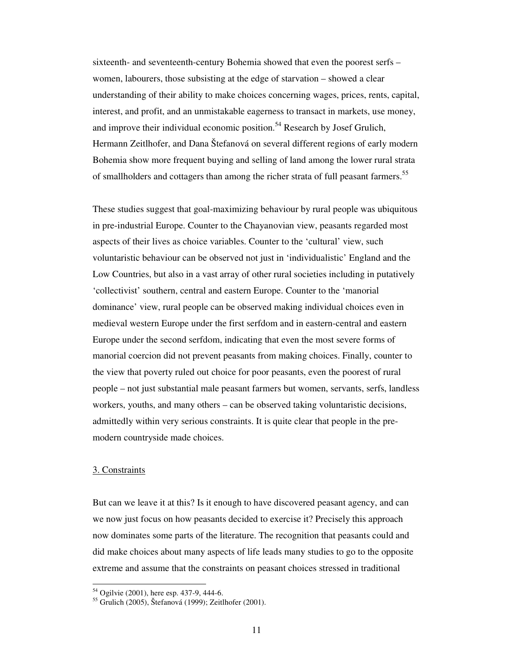sixteenth- and seventeenth-century Bohemia showed that even the poorest serfs – women, labourers, those subsisting at the edge of starvation – showed a clear understanding of their ability to make choices concerning wages, prices, rents, capital, interest, and profit, and an unmistakable eagerness to transact in markets, use money, and improve their individual economic position.<sup>54</sup> Research by Josef Grulich, Hermann Zeitlhofer, and Dana Štefanová on several different regions of early modern Bohemia show more frequent buying and selling of land among the lower rural strata of smallholders and cottagers than among the richer strata of full peasant farmers.<sup>55</sup>

These studies suggest that goal-maximizing behaviour by rural people was ubiquitous in pre-industrial Europe. Counter to the Chayanovian view, peasants regarded most aspects of their lives as choice variables. Counter to the 'cultural' view, such voluntaristic behaviour can be observed not just in 'individualistic' England and the Low Countries, but also in a vast array of other rural societies including in putatively 'collectivist' southern, central and eastern Europe. Counter to the 'manorial dominance' view, rural people can be observed making individual choices even in medieval western Europe under the first serfdom and in eastern-central and eastern Europe under the second serfdom, indicating that even the most severe forms of manorial coercion did not prevent peasants from making choices. Finally, counter to the view that poverty ruled out choice for poor peasants, even the poorest of rural people – not just substantial male peasant farmers but women, servants, serfs, landless workers, youths, and many others – can be observed taking voluntaristic decisions, admittedly within very serious constraints. It is quite clear that people in the premodern countryside made choices.

## 3. Constraints

 $\overline{\phantom{a}}$ 

But can we leave it at this? Is it enough to have discovered peasant agency, and can we now just focus on how peasants decided to exercise it? Precisely this approach now dominates some parts of the literature. The recognition that peasants could and did make choices about many aspects of life leads many studies to go to the opposite extreme and assume that the constraints on peasant choices stressed in traditional

<sup>54</sup> Ogilvie (2001), here esp. 437-9, 444-6.

<sup>55</sup> Grulich (2005), Štefanová (1999); Zeitlhofer (2001).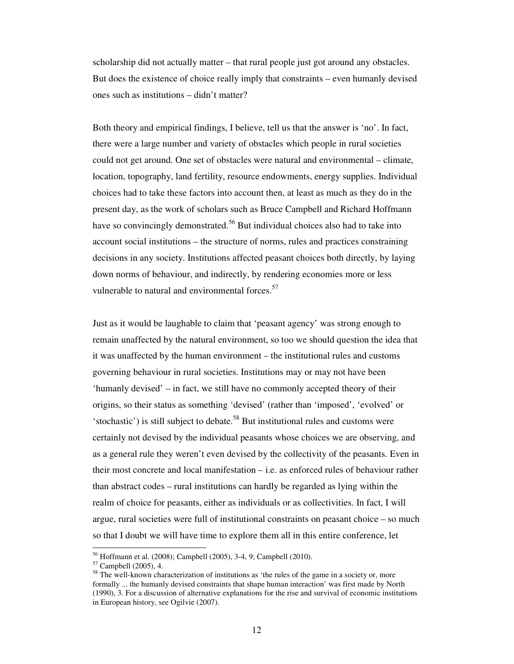scholarship did not actually matter – that rural people just got around any obstacles. But does the existence of choice really imply that constraints – even humanly devised ones such as institutions – didn't matter?

Both theory and empirical findings, I believe, tell us that the answer is 'no'. In fact, there were a large number and variety of obstacles which people in rural societies could not get around. One set of obstacles were natural and environmental – climate, location, topography, land fertility, resource endowments, energy supplies. Individual choices had to take these factors into account then, at least as much as they do in the present day, as the work of scholars such as Bruce Campbell and Richard Hoffmann have so convincingly demonstrated.<sup>56</sup> But individual choices also had to take into account social institutions – the structure of norms, rules and practices constraining decisions in any society. Institutions affected peasant choices both directly, by laying down norms of behaviour, and indirectly, by rendering economies more or less vulnerable to natural and environmental forces.<sup>57</sup>

Just as it would be laughable to claim that 'peasant agency' was strong enough to remain unaffected by the natural environment, so too we should question the idea that it was unaffected by the human environment – the institutional rules and customs governing behaviour in rural societies. Institutions may or may not have been 'humanly devised' – in fact, we still have no commonly accepted theory of their origins, so their status as something 'devised' (rather than 'imposed', 'evolved' or 'stochastic') is still subject to debate.<sup>58</sup> But institutional rules and customs were certainly not devised by the individual peasants whose choices we are observing, and as a general rule they weren't even devised by the collectivity of the peasants. Even in their most concrete and local manifestation – i.e. as enforced rules of behaviour rather than abstract codes – rural institutions can hardly be regarded as lying within the realm of choice for peasants, either as individuals or as collectivities. In fact, I will argue, rural societies were full of institutional constraints on peasant choice – so much so that I doubt we will have time to explore them all in this entire conference, let

<sup>56</sup> Hoffmann et al. (2008); Campbell (2005), 3-4, 9; Campbell (2010).

<sup>57</sup> Campbell (2005), 4.

<sup>&</sup>lt;sup>58</sup> The well-known characterization of institutions as 'the rules of the game in a society or, more formally ... the humanly devised constraints that shape human interaction' was first made by North (1990), 3. For a discussion of alternative explanations for the rise and survival of economic institutions in European history, see Ogilvie (2007).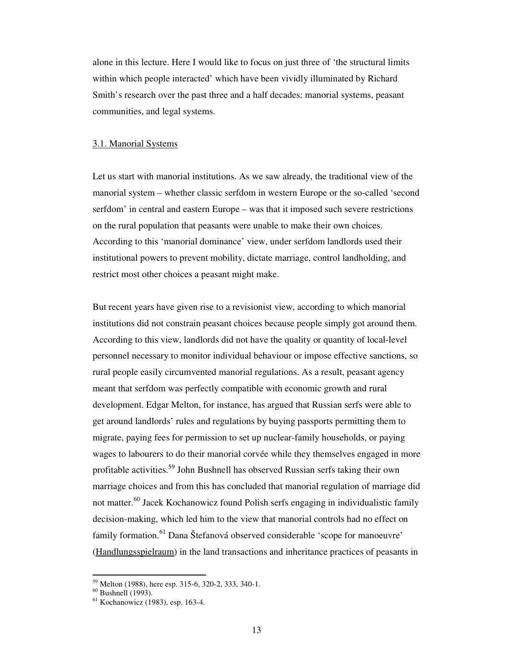alone in this lecture. Here I would like to focus on just three of 'the structural limits within which people interacted' which have been vividly illuminated by Richard Smith's research over the past three and a half decades: manorial systems, peasant communities, and legal systems.

#### 3.1. Manorial Systems

Let us start with manorial institutions. As we saw already, the traditional view of the manorial system – whether classic serfdom in western Europe or the so-called 'second serfdom' in central and eastern Europe – was that it imposed such severe restrictions on the rural population that peasants were unable to make their own choices. According to this 'manorial dominance' view, under serfdom landlords used their institutional powers to prevent mobility, dictate marriage, control landholding, and restrict most other choices a peasant might make.

But recent years have given rise to a revisionist view, according to which manorial institutions did not constrain peasant choices because people simply got around them. According to this view, landlords did not have the quality or quantity of local-level personnel necessary to monitor individual behaviour or impose effective sanctions, so rural people easily circumvented manorial regulations. As a result, peasant agency meant that serfdom was perfectly compatible with economic growth and rural development. Edgar Melton, for instance, has argued that Russian serfs were able to get around landlords' rules and regulations by buying passports permitting them to migrate, paying fees for permission to set up nuclear-family households, or paying wages to labourers to do their manorial corvée while they themselves engaged in more profitable activities.<sup>59</sup> John Bushnell has observed Russian serfs taking their own marriage choices and from this has concluded that manorial regulation of marriage did not matter.<sup>60</sup> Jacek Kochanowicz found Polish serfs engaging in individualistic family decision-making, which led him to the view that manorial controls had no effect on family formation.<sup>61</sup> Dana Štefanová observed considerable 'scope for manoeuvre' (Handlungsspielraum) in the land transactions and inheritance practices of peasants in

<sup>59</sup> Melton (1988), here esp. 315-6, 320-2, 333, 340-1.

 $60$  Bushnell (1993).

<sup>61</sup> Kochanowicz (1983), esp. 163-4.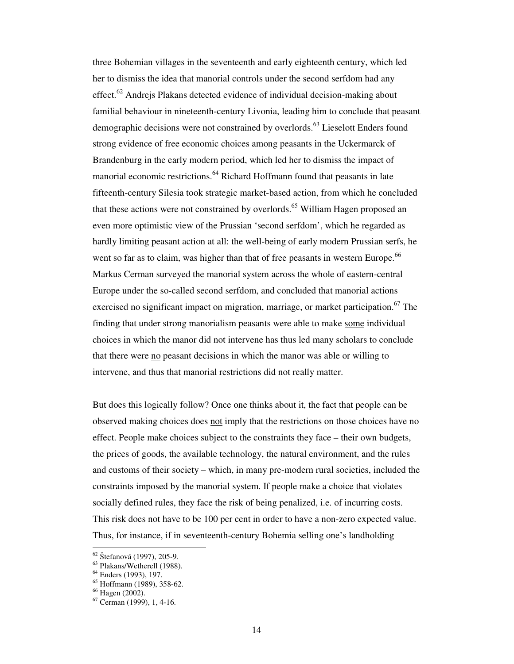three Bohemian villages in the seventeenth and early eighteenth century, which led her to dismiss the idea that manorial controls under the second serfdom had any effect.<sup>62</sup> Andrejs Plakans detected evidence of individual decision-making about familial behaviour in nineteenth-century Livonia, leading him to conclude that peasant demographic decisions were not constrained by overlords.<sup>63</sup> Lieselott Enders found strong evidence of free economic choices among peasants in the Uckermarck of Brandenburg in the early modern period, which led her to dismiss the impact of manorial economic restrictions.<sup>64</sup> Richard Hoffmann found that peasants in late fifteenth-century Silesia took strategic market-based action, from which he concluded that these actions were not constrained by overlords.<sup>65</sup> William Hagen proposed an even more optimistic view of the Prussian 'second serfdom', which he regarded as hardly limiting peasant action at all: the well-being of early modern Prussian serfs, he went so far as to claim, was higher than that of free peasants in western Europe.<sup>66</sup> Markus Cerman surveyed the manorial system across the whole of eastern-central Europe under the so-called second serfdom, and concluded that manorial actions exercised no significant impact on migration, marriage, or market participation.<sup>67</sup> The finding that under strong manorialism peasants were able to make some individual choices in which the manor did not intervene has thus led many scholars to conclude that there were no peasant decisions in which the manor was able or willing to intervene, and thus that manorial restrictions did not really matter.

But does this logically follow? Once one thinks about it, the fact that people can be observed making choices does not imply that the restrictions on those choices have no effect. People make choices subject to the constraints they face – their own budgets, the prices of goods, the available technology, the natural environment, and the rules and customs of their society – which, in many pre-modern rural societies, included the constraints imposed by the manorial system. If people make a choice that violates socially defined rules, they face the risk of being penalized, i.e. of incurring costs. This risk does not have to be 100 per cent in order to have a non-zero expected value. Thus, for instance, if in seventeenth-century Bohemia selling one's landholding

<sup>62</sup> Štefanová (1997), 205-9.

<sup>63</sup> Plakans/Wetherell (1988).

<sup>64</sup> Enders (1993), 197.

<sup>65</sup> Hoffmann (1989), 358-62.

<sup>66</sup> Hagen (2002).

<sup>67</sup> Cerman (1999), 1, 4-16.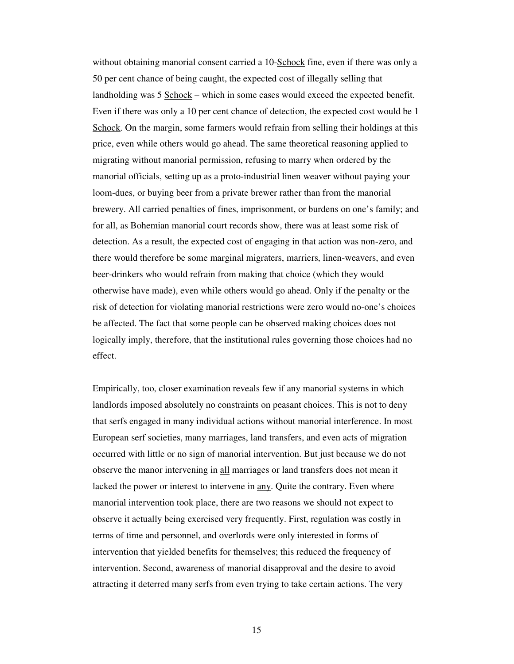without obtaining manorial consent carried a 10-Schock fine, even if there was only a 50 per cent chance of being caught, the expected cost of illegally selling that landholding was 5 <u>Schock</u> – which in some cases would exceed the expected benefit. Even if there was only a 10 per cent chance of detection, the expected cost would be 1 Schock. On the margin, some farmers would refrain from selling their holdings at this price, even while others would go ahead. The same theoretical reasoning applied to migrating without manorial permission, refusing to marry when ordered by the manorial officials, setting up as a proto-industrial linen weaver without paying your loom-dues, or buying beer from a private brewer rather than from the manorial brewery. All carried penalties of fines, imprisonment, or burdens on one's family; and for all, as Bohemian manorial court records show, there was at least some risk of detection. As a result, the expected cost of engaging in that action was non-zero, and there would therefore be some marginal migraters, marriers, linen-weavers, and even beer-drinkers who would refrain from making that choice (which they would otherwise have made), even while others would go ahead. Only if the penalty or the risk of detection for violating manorial restrictions were zero would no-one's choices be affected. The fact that some people can be observed making choices does not logically imply, therefore, that the institutional rules governing those choices had no effect.

Empirically, too, closer examination reveals few if any manorial systems in which landlords imposed absolutely no constraints on peasant choices. This is not to deny that serfs engaged in many individual actions without manorial interference. In most European serf societies, many marriages, land transfers, and even acts of migration occurred with little or no sign of manorial intervention. But just because we do not observe the manor intervening in all marriages or land transfers does not mean it lacked the power or interest to intervene in any. Quite the contrary. Even where manorial intervention took place, there are two reasons we should not expect to observe it actually being exercised very frequently. First, regulation was costly in terms of time and personnel, and overlords were only interested in forms of intervention that yielded benefits for themselves; this reduced the frequency of intervention. Second, awareness of manorial disapproval and the desire to avoid attracting it deterred many serfs from even trying to take certain actions. The very

15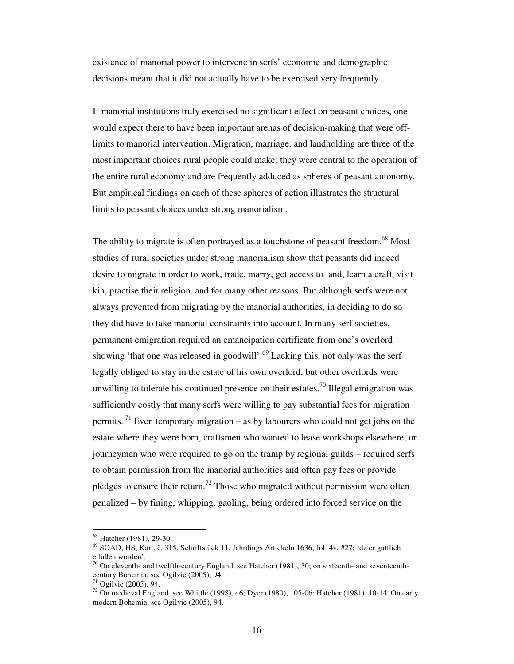existence of manorial power to intervene in serfs' economic and demographic decisions meant that it did not actually have to be exercised very frequently.

If manorial institutions truly exercised no significant effect on peasant choices, one would expect there to have been important arenas of decision-making that were offlimits to manorial intervention. Migration, marriage, and landholding are three of the most important choices rural people could make: they were central to the operation of the entire rural economy and are frequently adduced as spheres of peasant autonomy. But empirical findings on each of these spheres of action illustrates the structural limits to peasant choices under strong manorialism.

The ability to migrate is often portrayed as a touchstone of peasant freedom.<sup>68</sup> Most studies of rural societies under strong manorialism show that peasants did indeed desire to migrate in order to work, trade, marry, get access to land, learn a craft, visit kin, practise their religion, and for many other reasons. But although serfs were not always prevented from migrating by the manorial authorities, in deciding to do so they did have to take manorial constraints into account. In many serf societies, permanent emigration required an emancipation certificate from one's overlord showing 'that one was released in goodwill'. $^{69}$  Lacking this, not only was the serf legally obliged to stay in the estate of his own overlord, but other overlords were unwilling to tolerate his continued presence on their estates.<sup>70</sup> Illegal emigration was sufficiently costly that many serfs were willing to pay substantial fees for migration permits.<sup>71</sup> Even temporary migration – as by labourers who could not get jobs on the estate where they were born, craftsmen who wanted to lease workshops elsewhere, or journeymen who were required to go on the tramp by regional guilds – required serfs to obtain permission from the manorial authorities and often pay fees or provide pledges to ensure their return.<sup>72</sup> Those who migrated without permission were often penalized – by fining, whipping, gaoling, being ordered into forced service on the

<sup>68</sup> Hatcher (1981), 29-30.

<sup>69</sup> SOAD, HS, Kart. č. 315, Schriftstück 11, Jahrdings Artickeln 1636, fol. 4v, #27: 'dz er guttlich erlaßen worden'.

 $70$  On eleventh- and twelfth-century England, see Hatcher (1981), 30; on sixteenth- and seventeenthcentury Bohemia, see Ogilvie (2005), 94.

Ogilvie (2005), 94.

 $^{72}$  On medieval England, see Whittle (1998), 46; Dyer (1980), 105-06; Hatcher (1981), 10-14. On early modern Bohemia, see Ogilvie (2005), 94.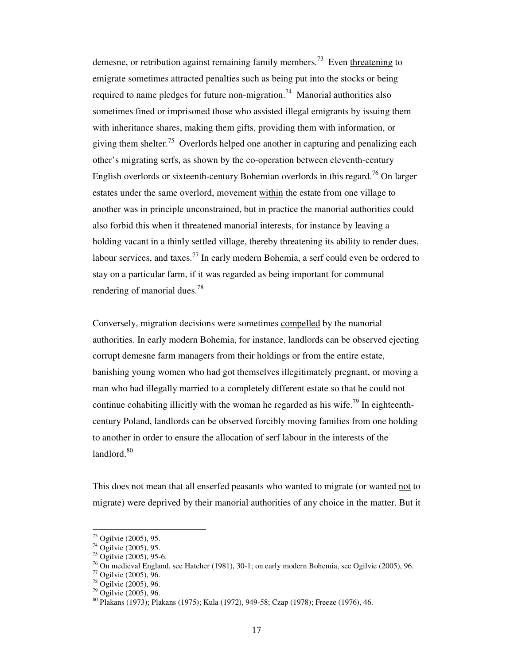demesne, or retribution against remaining family members.<sup>73</sup> Even threatening to emigrate sometimes attracted penalties such as being put into the stocks or being required to name pledges for future non-migration.<sup>74</sup> Manorial authorities also sometimes fined or imprisoned those who assisted illegal emigrants by issuing them with inheritance shares, making them gifts, providing them with information, or giving them shelter.<sup>75</sup> Overlords helped one another in capturing and penalizing each other's migrating serfs, as shown by the co-operation between eleventh-century English overlords or sixteenth-century Bohemian overlords in this regard.<sup>76</sup> On larger estates under the same overlord, movement within the estate from one village to another was in principle unconstrained, but in practice the manorial authorities could also forbid this when it threatened manorial interests, for instance by leaving a holding vacant in a thinly settled village, thereby threatening its ability to render dues, labour services, and taxes.<sup>77</sup> In early modern Bohemia, a serf could even be ordered to stay on a particular farm, if it was regarded as being important for communal rendering of manorial dues.<sup>78</sup>

Conversely, migration decisions were sometimes compelled by the manorial authorities. In early modern Bohemia, for instance, landlords can be observed ejecting corrupt demesne farm managers from their holdings or from the entire estate, banishing young women who had got themselves illegitimately pregnant, or moving a man who had illegally married to a completely different estate so that he could not continue cohabiting illicitly with the woman he regarded as his wife.<sup>79</sup> In eighteenthcentury Poland, landlords can be observed forcibly moving families from one holding to another in order to ensure the allocation of serf labour in the interests of the landlord.<sup>80</sup>

This does not mean that all enserfed peasants who wanted to migrate (or wanted not to migrate) were deprived by their manorial authorities of any choice in the matter. But it

 $73$  Ogilvie (2005), 95.

<sup>74</sup> Ogilvie (2005), 95.

 $75$  Ogilvie (2005), 95-6.

<sup>76</sup> On medieval England, see Hatcher (1981), 30-1; on early modern Bohemia, see Ogilvie (2005), 96.

<sup>77</sup> Ogilvie (2005), 96.

<sup>78</sup> Ogilvie (2005), 96.

<sup>79</sup> Ogilvie (2005), 96.

<sup>80</sup> Plakans (1973); Plakans (1975); Kula (1972), 949-58; Czap (1978); Freeze (1976), 46.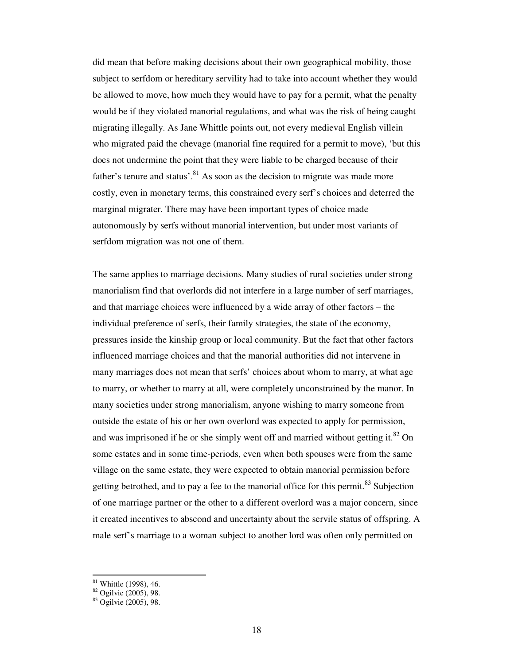did mean that before making decisions about their own geographical mobility, those subject to serfdom or hereditary servility had to take into account whether they would be allowed to move, how much they would have to pay for a permit, what the penalty would be if they violated manorial regulations, and what was the risk of being caught migrating illegally. As Jane Whittle points out, not every medieval English villein who migrated paid the chevage (manorial fine required for a permit to move), 'but this does not undermine the point that they were liable to be charged because of their father's tenure and status'.<sup>81</sup> As soon as the decision to migrate was made more costly, even in monetary terms, this constrained every serf's choices and deterred the marginal migrater. There may have been important types of choice made autonomously by serfs without manorial intervention, but under most variants of serfdom migration was not one of them.

The same applies to marriage decisions. Many studies of rural societies under strong manorialism find that overlords did not interfere in a large number of serf marriages, and that marriage choices were influenced by a wide array of other factors – the individual preference of serfs, their family strategies, the state of the economy, pressures inside the kinship group or local community. But the fact that other factors influenced marriage choices and that the manorial authorities did not intervene in many marriages does not mean that serfs' choices about whom to marry, at what age to marry, or whether to marry at all, were completely unconstrained by the manor. In many societies under strong manorialism, anyone wishing to marry someone from outside the estate of his or her own overlord was expected to apply for permission, and was imprisoned if he or she simply went off and married without getting it. ${}^{82}$  On some estates and in some time-periods, even when both spouses were from the same village on the same estate, they were expected to obtain manorial permission before getting betrothed, and to pay a fee to the manorial office for this permit.<sup>83</sup> Subjection of one marriage partner or the other to a different overlord was a major concern, since it created incentives to abscond and uncertainty about the servile status of offspring. A male serf's marriage to a woman subject to another lord was often only permitted on

 $81$  Whittle (1998), 46.

 $82$  Ogilvie (2005), 98.

<sup>83</sup> Ogilvie (2005), 98.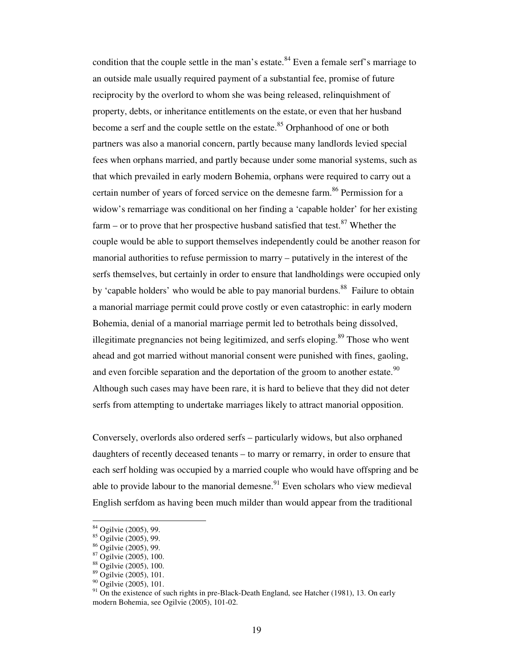condition that the couple settle in the man's estate. $84$  Even a female serf's marriage to an outside male usually required payment of a substantial fee, promise of future reciprocity by the overlord to whom she was being released, relinquishment of property, debts, or inheritance entitlements on the estate, or even that her husband become a serf and the couple settle on the estate.<sup>85</sup> Orphanhood of one or both partners was also a manorial concern, partly because many landlords levied special fees when orphans married, and partly because under some manorial systems, such as that which prevailed in early modern Bohemia, orphans were required to carry out a certain number of years of forced service on the demesne farm.<sup>86</sup> Permission for a widow's remarriage was conditional on her finding a 'capable holder' for her existing farm – or to prove that her prospective husband satisfied that test.<sup>87</sup> Whether the couple would be able to support themselves independently could be another reason for manorial authorities to refuse permission to marry – putatively in the interest of the serfs themselves, but certainly in order to ensure that landholdings were occupied only by 'capable holders' who would be able to pay manorial burdens.<sup>88</sup> Failure to obtain a manorial marriage permit could prove costly or even catastrophic: in early modern Bohemia, denial of a manorial marriage permit led to betrothals being dissolved, illegitimate pregnancies not being legitimized, and serfs eloping.<sup>89</sup> Those who went ahead and got married without manorial consent were punished with fines, gaoling, and even forcible separation and the deportation of the groom to another estate.<sup>90</sup> Although such cases may have been rare, it is hard to believe that they did not deter serfs from attempting to undertake marriages likely to attract manorial opposition.

Conversely, overlords also ordered serfs – particularly widows, but also orphaned daughters of recently deceased tenants – to marry or remarry, in order to ensure that each serf holding was occupied by a married couple who would have offspring and be able to provide labour to the manorial demesne.<sup>91</sup> Even scholars who view medieval English serfdom as having been much milder than would appear from the traditional

<sup>84</sup> Ogilvie (2005), 99.

<sup>85</sup> Ogilvie (2005), 99.

<sup>86</sup> Ogilvie (2005), 99.

<sup>87</sup> Ogilvie (2005), 100.

<sup>88</sup> Ogilvie (2005), 100.

<sup>89</sup> Ogilvie (2005), 101.

<sup>&</sup>lt;sup>90</sup> Ogilvie (2005), 101.

 $91$  On the existence of such rights in pre-Black-Death England, see Hatcher (1981), 13. On early modern Bohemia, see Ogilvie (2005), 101-02.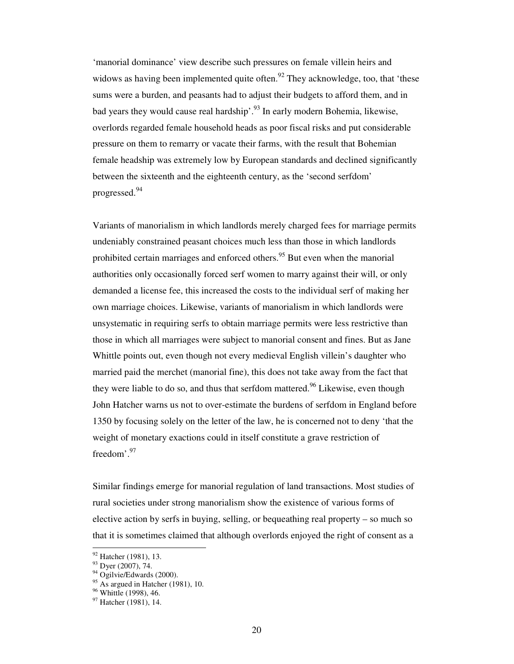'manorial dominance' view describe such pressures on female villein heirs and widows as having been implemented quite often.<sup>92</sup> They acknowledge, too, that 'these sums were a burden, and peasants had to adjust their budgets to afford them, and in bad years they would cause real hardship'.<sup>93</sup> In early modern Bohemia, likewise, overlords regarded female household heads as poor fiscal risks and put considerable pressure on them to remarry or vacate their farms, with the result that Bohemian female headship was extremely low by European standards and declined significantly between the sixteenth and the eighteenth century, as the 'second serfdom' progressed.<sup>94</sup>

Variants of manorialism in which landlords merely charged fees for marriage permits undeniably constrained peasant choices much less than those in which landlords prohibited certain marriages and enforced others.<sup>95</sup> But even when the manorial authorities only occasionally forced serf women to marry against their will, or only demanded a license fee, this increased the costs to the individual serf of making her own marriage choices. Likewise, variants of manorialism in which landlords were unsystematic in requiring serfs to obtain marriage permits were less restrictive than those in which all marriages were subject to manorial consent and fines. But as Jane Whittle points out, even though not every medieval English villein's daughter who married paid the merchet (manorial fine), this does not take away from the fact that they were liable to do so, and thus that serfdom mattered.<sup>96</sup> Likewise, even though John Hatcher warns us not to over-estimate the burdens of serfdom in England before 1350 by focusing solely on the letter of the law, he is concerned not to deny 'that the weight of monetary exactions could in itself constitute a grave restriction of freedom'.<sup>97</sup>

Similar findings emerge for manorial regulation of land transactions. Most studies of rural societies under strong manorialism show the existence of various forms of elective action by serfs in buying, selling, or bequeathing real property – so much so that it is sometimes claimed that although overlords enjoyed the right of consent as a

<sup>&</sup>lt;sup>92</sup> Hatcher (1981), 13.

<sup>93</sup> Dyer (2007), 74.

<sup>&</sup>lt;sup>94</sup> Ogilvie/Edwards (2000).

 $^{95}$  As argued in Hatcher (1981), 10.

<sup>&</sup>lt;sup>96</sup> Whittle (1998), 46.

<sup>97</sup> Hatcher (1981), 14.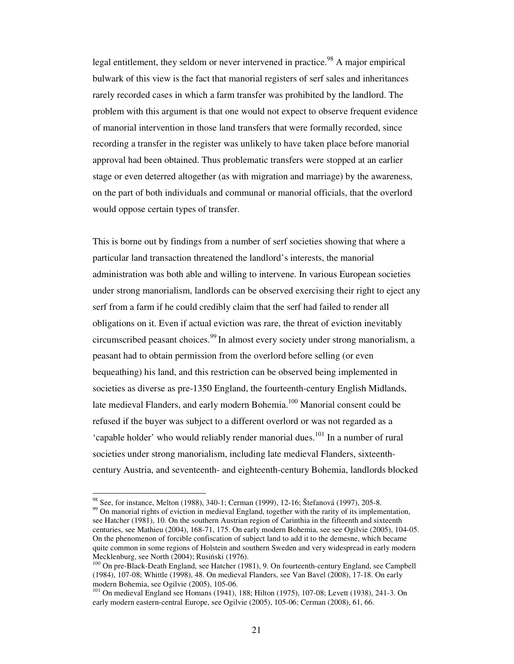legal entitlement, they seldom or never intervened in practice.<sup>98</sup> A major empirical bulwark of this view is the fact that manorial registers of serf sales and inheritances rarely recorded cases in which a farm transfer was prohibited by the landlord. The problem with this argument is that one would not expect to observe frequent evidence of manorial intervention in those land transfers that were formally recorded, since recording a transfer in the register was unlikely to have taken place before manorial approval had been obtained. Thus problematic transfers were stopped at an earlier stage or even deterred altogether (as with migration and marriage) by the awareness, on the part of both individuals and communal or manorial officials, that the overlord would oppose certain types of transfer.

This is borne out by findings from a number of serf societies showing that where a particular land transaction threatened the landlord's interests, the manorial administration was both able and willing to intervene. In various European societies under strong manorialism, landlords can be observed exercising their right to eject any serf from a farm if he could credibly claim that the serf had failed to render all obligations on it. Even if actual eviction was rare, the threat of eviction inevitably circumscribed peasant choices.<sup>99</sup>In almost every society under strong manorialism, a peasant had to obtain permission from the overlord before selling (or even bequeathing) his land, and this restriction can be observed being implemented in societies as diverse as pre-1350 England, the fourteenth-century English Midlands, late medieval Flanders, and early modern Bohemia.<sup>100</sup> Manorial consent could be refused if the buyer was subject to a different overlord or was not regarded as a 'capable holder' who would reliably render manorial dues.<sup>101</sup> In a number of rural societies under strong manorialism, including late medieval Flanders, sixteenthcentury Austria, and seventeenth- and eighteenth-century Bohemia, landlords blocked

<sup>98</sup> See, for instance, Melton (1988), 340-1; Cerman (1999), 12-16; Štefanová (1997), 205-8.

 $99$  On manorial rights of eviction in medieval England, together with the rarity of its implementation, see Hatcher (1981), 10. On the southern Austrian region of Carinthia in the fifteenth and sixteenth centuries, see Mathieu (2004), 168-71, 175. On early modern Bohemia, see see Ogilvie (2005), 104-05. On the phenomenon of forcible confiscation of subject land to add it to the demesne, which became quite common in some regions of Holstein and southern Sweden and very widespread in early modern Mecklenburg, see North (2004); Rusiński (1976).

<sup>&</sup>lt;sup>100</sup> On pre-Black-Death England, see Hatcher (1981), 9. On fourteenth-century England, see Campbell (1984), 107-08; Whittle (1998), 48. On medieval Flanders, see Van Bavel (2008), 17-18. On early modern Bohemia, see Ogilvie (2005), 105-06.

<sup>101</sup> On medieval England see Homans (1941), 188; Hilton (1975), 107-08; Levett (1938), 241-3. On early modern eastern-central Europe, see Ogilvie (2005), 105-06; Cerman (2008), 61, 66.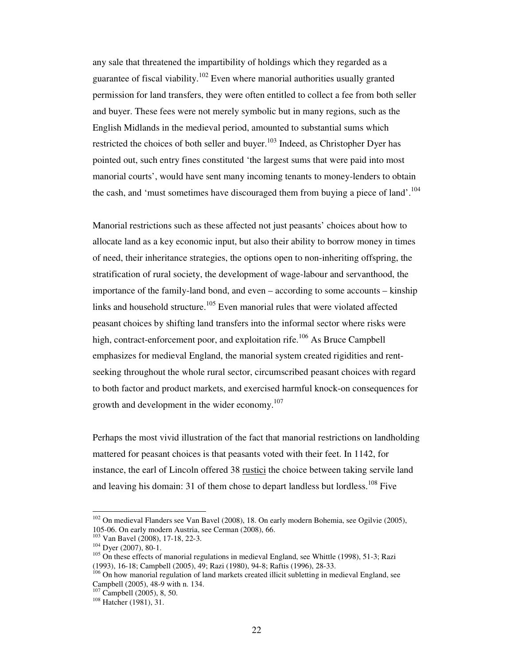any sale that threatened the impartibility of holdings which they regarded as a guarantee of fiscal viability.<sup>102</sup> Even where manorial authorities usually granted permission for land transfers, they were often entitled to collect a fee from both seller and buyer. These fees were not merely symbolic but in many regions, such as the English Midlands in the medieval period, amounted to substantial sums which restricted the choices of both seller and buyer.<sup>103</sup> Indeed, as Christopher Dyer has pointed out, such entry fines constituted 'the largest sums that were paid into most manorial courts', would have sent many incoming tenants to money-lenders to obtain the cash, and 'must sometimes have discouraged them from buying a piece of land'.<sup>104</sup>

Manorial restrictions such as these affected not just peasants' choices about how to allocate land as a key economic input, but also their ability to borrow money in times of need, their inheritance strategies, the options open to non-inheriting offspring, the stratification of rural society, the development of wage-labour and servanthood, the importance of the family-land bond, and even – according to some accounts – kinship links and household structure.<sup>105</sup> Even manorial rules that were violated affected peasant choices by shifting land transfers into the informal sector where risks were high, contract-enforcement poor, and exploitation rife.<sup>106</sup> As Bruce Campbell emphasizes for medieval England, the manorial system created rigidities and rentseeking throughout the whole rural sector, circumscribed peasant choices with regard to both factor and product markets, and exercised harmful knock-on consequences for growth and development in the wider economy.<sup>107</sup>

Perhaps the most vivid illustration of the fact that manorial restrictions on landholding mattered for peasant choices is that peasants voted with their feet. In 1142, for instance, the earl of Lincoln offered 38 rustici the choice between taking servile land and leaving his domain: 31 of them chose to depart landless but lordless.<sup>108</sup> Five

<sup>&</sup>lt;sup>102</sup> On medieval Flanders see Van Bavel (2008), 18. On early modern Bohemia, see Ogilvie (2005), 105-06. On early modern Austria, see Cerman (2008), 66.

<sup>103</sup> Van Bavel (2008), 17-18, 22-3.

<sup>104</sup> Dyer (2007), 80-1.

<sup>&</sup>lt;sup>105</sup> On these effects of manorial regulations in medieval England, see Whittle (1998), 51-3; Razi (1993), 16-18; Campbell (2005), 49; Razi (1980), 94-8; Raftis (1996), 28-33.

<sup>&</sup>lt;sup>106</sup> On how manorial regulation of land markets created illicit subletting in medieval England, see Campbell (2005), 48-9 with n. 134.

<sup>107</sup> Campbell (2005), 8, 50.

<sup>108</sup> Hatcher (1981), 31.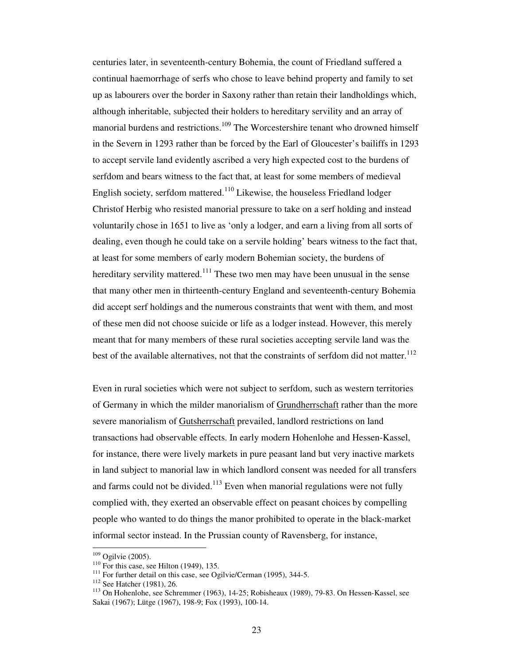centuries later, in seventeenth-century Bohemia, the count of Friedland suffered a continual haemorrhage of serfs who chose to leave behind property and family to set up as labourers over the border in Saxony rather than retain their landholdings which, although inheritable, subjected their holders to hereditary servility and an array of manorial burdens and restrictions.<sup>109</sup> The Worcestershire tenant who drowned himself in the Severn in 1293 rather than be forced by the Earl of Gloucester's bailiffs in 1293 to accept servile land evidently ascribed a very high expected cost to the burdens of serfdom and bears witness to the fact that, at least for some members of medieval English society, serfdom mattered.<sup>110</sup> Likewise, the houseless Friedland lodger Christof Herbig who resisted manorial pressure to take on a serf holding and instead voluntarily chose in 1651 to live as 'only a lodger, and earn a living from all sorts of dealing, even though he could take on a servile holding' bears witness to the fact that, at least for some members of early modern Bohemian society, the burdens of hereditary servility mattered.<sup>111</sup> These two men may have been unusual in the sense that many other men in thirteenth-century England and seventeenth-century Bohemia did accept serf holdings and the numerous constraints that went with them, and most of these men did not choose suicide or life as a lodger instead. However, this merely meant that for many members of these rural societies accepting servile land was the best of the available alternatives, not that the constraints of serfdom did not matter.<sup>112</sup>

Even in rural societies which were not subject to serfdom, such as western territories of Germany in which the milder manorialism of Grundherrschaft rather than the more severe manorialism of **Gutsherrschaft** prevailed, landlord restrictions on land transactions had observable effects. In early modern Hohenlohe and Hessen-Kassel, for instance, there were lively markets in pure peasant land but very inactive markets in land subject to manorial law in which landlord consent was needed for all transfers and farms could not be divided.<sup>113</sup> Even when manorial regulations were not fully complied with, they exerted an observable effect on peasant choices by compelling people who wanted to do things the manor prohibited to operate in the black-market informal sector instead. In the Prussian county of Ravensberg, for instance,

 $109$  Ogilvie (2005).

 $110$  For this case, see Hilton (1949), 135.

<sup>&</sup>lt;sup>111</sup> For further detail on this case, see Ogilvie/Cerman (1995), 344-5.

<sup>112</sup> See Hatcher (1981), 26.

<sup>113</sup> On Hohenlohe, see Schremmer (1963), 14-25; Robisheaux (1989), 79-83. On Hessen-Kassel, see Sakai (1967); Lütge (1967), 198-9; Fox (1993), 100-14.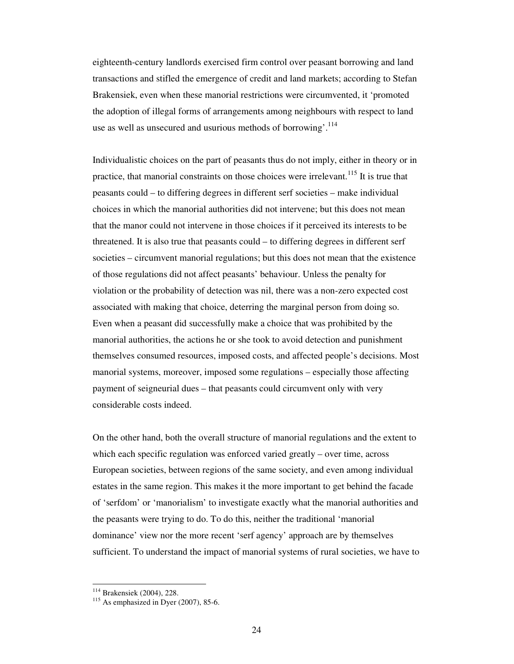eighteenth-century landlords exercised firm control over peasant borrowing and land transactions and stifled the emergence of credit and land markets; according to Stefan Brakensiek, even when these manorial restrictions were circumvented, it 'promoted the adoption of illegal forms of arrangements among neighbours with respect to land use as well as unsecured and usurious methods of borrowing'.<sup>114</sup>

Individualistic choices on the part of peasants thus do not imply, either in theory or in practice, that manorial constraints on those choices were irrelevant.<sup>115</sup> It is true that peasants could – to differing degrees in different serf societies – make individual choices in which the manorial authorities did not intervene; but this does not mean that the manor could not intervene in those choices if it perceived its interests to be threatened. It is also true that peasants could – to differing degrees in different serf societies – circumvent manorial regulations; but this does not mean that the existence of those regulations did not affect peasants' behaviour. Unless the penalty for violation or the probability of detection was nil, there was a non-zero expected cost associated with making that choice, deterring the marginal person from doing so. Even when a peasant did successfully make a choice that was prohibited by the manorial authorities, the actions he or she took to avoid detection and punishment themselves consumed resources, imposed costs, and affected people's decisions. Most manorial systems, moreover, imposed some regulations – especially those affecting payment of seigneurial dues – that peasants could circumvent only with very considerable costs indeed.

On the other hand, both the overall structure of manorial regulations and the extent to which each specific regulation was enforced varied greatly – over time, across European societies, between regions of the same society, and even among individual estates in the same region. This makes it the more important to get behind the facade of 'serfdom' or 'manorialism' to investigate exactly what the manorial authorities and the peasants were trying to do. To do this, neither the traditional 'manorial dominance' view nor the more recent 'serf agency' approach are by themselves sufficient. To understand the impact of manorial systems of rural societies, we have to

<sup>114</sup> Brakensiek (2004), 228.

 $115$  As emphasized in Dyer (2007), 85-6.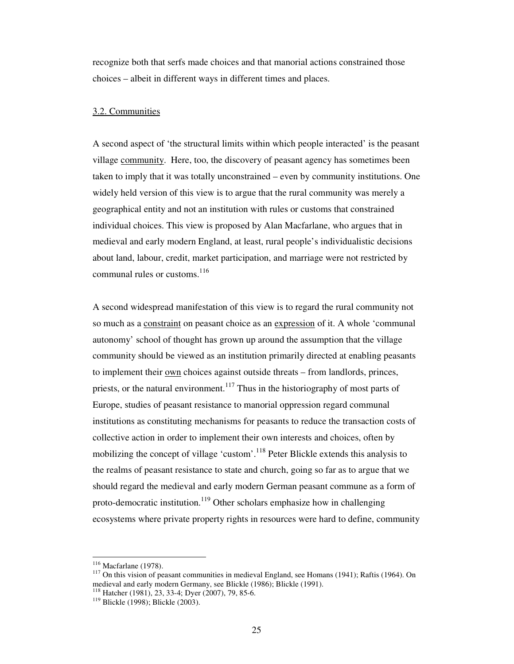recognize both that serfs made choices and that manorial actions constrained those choices – albeit in different ways in different times and places.

## 3.2. Communities

A second aspect of 'the structural limits within which people interacted' is the peasant village community. Here, too, the discovery of peasant agency has sometimes been taken to imply that it was totally unconstrained – even by community institutions. One widely held version of this view is to argue that the rural community was merely a geographical entity and not an institution with rules or customs that constrained individual choices. This view is proposed by Alan Macfarlane, who argues that in medieval and early modern England, at least, rural people's individualistic decisions about land, labour, credit, market participation, and marriage were not restricted by communal rules or customs.<sup>116</sup>

A second widespread manifestation of this view is to regard the rural community not so much as a constraint on peasant choice as an expression of it. A whole 'communal autonomy' school of thought has grown up around the assumption that the village community should be viewed as an institution primarily directed at enabling peasants to implement their <u>own</u> choices against outside threats – from landlords, princes, priests, or the natural environment.<sup>117</sup> Thus in the historiography of most parts of Europe, studies of peasant resistance to manorial oppression regard communal institutions as constituting mechanisms for peasants to reduce the transaction costs of collective action in order to implement their own interests and choices, often by mobilizing the concept of village 'custom'.<sup>118</sup> Peter Blickle extends this analysis to the realms of peasant resistance to state and church, going so far as to argue that we should regard the medieval and early modern German peasant commune as a form of proto-democratic institution.<sup>119</sup> Other scholars emphasize how in challenging ecosystems where private property rights in resources were hard to define, community

<sup>116</sup> Macfarlane (1978).

<sup>&</sup>lt;sup>117</sup> On this vision of peasant communities in medieval England, see Homans (1941); Raftis (1964). On medieval and early modern Germany, see Blickle (1986); Blickle (1991).

<sup>118</sup> Hatcher (1981), 23, 33-4; Dyer (2007), 79, 85-6.

<sup>&</sup>lt;sup>119</sup> Blickle (1998); Blickle (2003).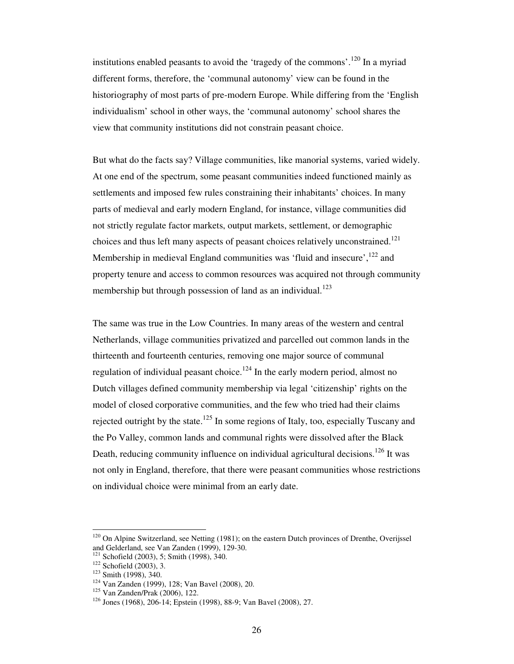institutions enabled peasants to avoid the 'tragedy of the commons'.<sup>120</sup> In a myriad different forms, therefore, the 'communal autonomy' view can be found in the historiography of most parts of pre-modern Europe. While differing from the 'English individualism' school in other ways, the 'communal autonomy' school shares the view that community institutions did not constrain peasant choice.

But what do the facts say? Village communities, like manorial systems, varied widely. At one end of the spectrum, some peasant communities indeed functioned mainly as settlements and imposed few rules constraining their inhabitants' choices. In many parts of medieval and early modern England, for instance, village communities did not strictly regulate factor markets, output markets, settlement, or demographic choices and thus left many aspects of peasant choices relatively unconstrained.<sup>121</sup> Membership in medieval England communities was 'fluid and insecure',<sup>122</sup> and property tenure and access to common resources was acquired not through community membership but through possession of land as an individual.<sup>123</sup>

The same was true in the Low Countries. In many areas of the western and central Netherlands, village communities privatized and parcelled out common lands in the thirteenth and fourteenth centuries, removing one major source of communal regulation of individual peasant choice.<sup>124</sup> In the early modern period, almost no Dutch villages defined community membership via legal 'citizenship' rights on the model of closed corporative communities, and the few who tried had their claims rejected outright by the state.<sup>125</sup> In some regions of Italy, too, especially Tuscany and the Po Valley, common lands and communal rights were dissolved after the Black Death, reducing community influence on individual agricultural decisions.<sup>126</sup> It was not only in England, therefore, that there were peasant communities whose restrictions on individual choice were minimal from an early date.

 $120$  On Alpine Switzerland, see Netting (1981); on the eastern Dutch provinces of Drenthe, Overijssel and Gelderland, see Van Zanden (1999), 129-30.

 $121$  Schofield (2003), 5; Smith (1998), 340.

<sup>122</sup> Schofield (2003), 3.

<sup>123</sup> Smith (1998), 340.

<sup>124</sup> Van Zanden (1999), 128; Van Bavel (2008), 20.

<sup>125</sup> Van Zanden/Prak (2006), 122.

<sup>126</sup> Jones (1968), 206-14; Epstein (1998), 88-9; Van Bavel (2008), 27.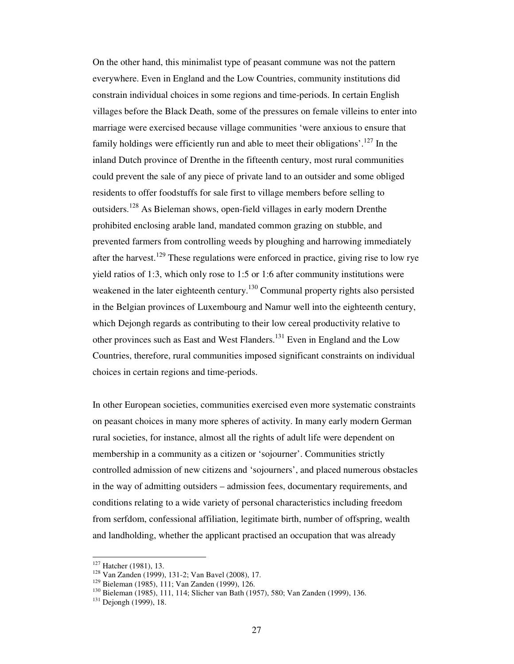On the other hand, this minimalist type of peasant commune was not the pattern everywhere. Even in England and the Low Countries, community institutions did constrain individual choices in some regions and time-periods. In certain English villages before the Black Death, some of the pressures on female villeins to enter into marriage were exercised because village communities 'were anxious to ensure that family holdings were efficiently run and able to meet their obligations'.<sup>127</sup> In the inland Dutch province of Drenthe in the fifteenth century, most rural communities could prevent the sale of any piece of private land to an outsider and some obliged residents to offer foodstuffs for sale first to village members before selling to outsiders.<sup>128</sup> As Bieleman shows, open-field villages in early modern Drenthe prohibited enclosing arable land, mandated common grazing on stubble, and prevented farmers from controlling weeds by ploughing and harrowing immediately after the harvest.<sup>129</sup> These regulations were enforced in practice, giving rise to low rye yield ratios of 1:3, which only rose to 1:5 or 1:6 after community institutions were weakened in the later eighteenth century.<sup>130</sup> Communal property rights also persisted in the Belgian provinces of Luxembourg and Namur well into the eighteenth century, which Dejongh regards as contributing to their low cereal productivity relative to other provinces such as East and West Flanders.<sup>131</sup> Even in England and the Low Countries, therefore, rural communities imposed significant constraints on individual choices in certain regions and time-periods.

In other European societies, communities exercised even more systematic constraints on peasant choices in many more spheres of activity. In many early modern German rural societies, for instance, almost all the rights of adult life were dependent on membership in a community as a citizen or 'sojourner'. Communities strictly controlled admission of new citizens and 'sojourners', and placed numerous obstacles in the way of admitting outsiders – admission fees, documentary requirements, and conditions relating to a wide variety of personal characteristics including freedom from serfdom, confessional affiliation, legitimate birth, number of offspring, wealth and landholding, whether the applicant practised an occupation that was already

<sup>&</sup>lt;sup>127</sup> Hatcher (1981), 13.

<sup>128</sup> Van Zanden (1999), 131-2; Van Bavel (2008), 17.

<sup>129</sup> Bieleman (1985), 111; Van Zanden (1999), 126.

<sup>130</sup> Bieleman (1985), 111, 114; Slicher van Bath (1957), 580; Van Zanden (1999), 136.

<sup>&</sup>lt;sup>131</sup> Dejongh (1999), 18.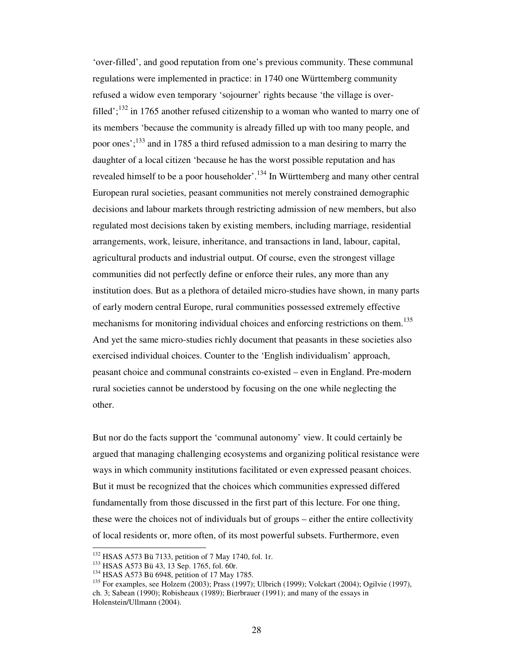'over-filled', and good reputation from one's previous community. These communal regulations were implemented in practice: in 1740 one Württemberg community refused a widow even temporary 'sojourner' rights because 'the village is overfilled';  $^{132}$  in 1765 another refused citizenship to a woman who wanted to marry one of its members 'because the community is already filled up with too many people, and poor ones';<sup>133</sup> and in 1785 a third refused admission to a man desiring to marry the daughter of a local citizen 'because he has the worst possible reputation and has revealed himself to be a poor householder'.<sup>134</sup> In Württemberg and many other central European rural societies, peasant communities not merely constrained demographic decisions and labour markets through restricting admission of new members, but also regulated most decisions taken by existing members, including marriage, residential arrangements, work, leisure, inheritance, and transactions in land, labour, capital, agricultural products and industrial output. Of course, even the strongest village communities did not perfectly define or enforce their rules, any more than any institution does. But as a plethora of detailed micro-studies have shown, in many parts of early modern central Europe, rural communities possessed extremely effective mechanisms for monitoring individual choices and enforcing restrictions on them.<sup>135</sup> And yet the same micro-studies richly document that peasants in these societies also exercised individual choices. Counter to the 'English individualism' approach, peasant choice and communal constraints co-existed – even in England. Pre-modern rural societies cannot be understood by focusing on the one while neglecting the other.

But nor do the facts support the 'communal autonomy' view. It could certainly be argued that managing challenging ecosystems and organizing political resistance were ways in which community institutions facilitated or even expressed peasant choices. But it must be recognized that the choices which communities expressed differed fundamentally from those discussed in the first part of this lecture. For one thing, these were the choices not of individuals but of groups – either the entire collectivity of local residents or, more often, of its most powerful subsets. Furthermore, even

<sup>132</sup> HSAS A573 Bü 7133, petition of 7 May 1740, fol. 1r.

<sup>&</sup>lt;sup>133</sup> HSAS A573 Bü 43, 13 Sep. 1765, fol. 60r.

<sup>&</sup>lt;sup>134</sup> HSAS A573 Bü 6948, petition of 17 May 1785.

<sup>&</sup>lt;sup>135</sup> For examples, see Holzem (2003); Prass (1997); Ulbrich (1999); Volckart (2004); Ogilvie (1997), ch. 3; Sabean (1990); Robisheaux (1989); Bierbrauer (1991); and many of the essays in Holenstein/Ullmann (2004).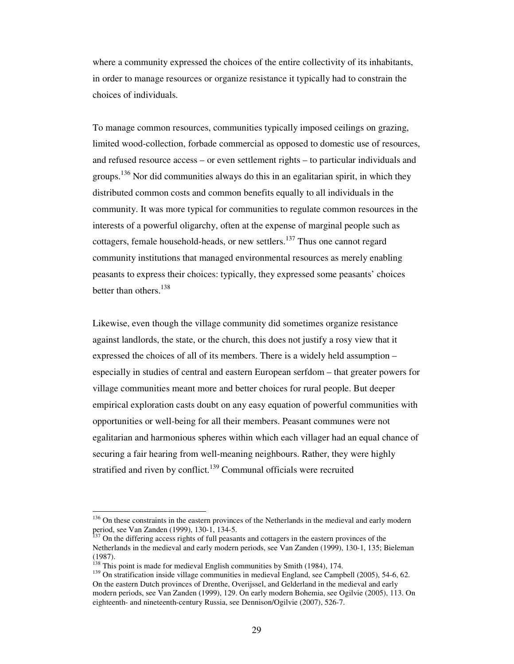where a community expressed the choices of the entire collectivity of its inhabitants, in order to manage resources or organize resistance it typically had to constrain the choices of individuals.

To manage common resources, communities typically imposed ceilings on grazing, limited wood-collection, forbade commercial as opposed to domestic use of resources, and refused resource access – or even settlement rights – to particular individuals and groups.<sup>136</sup> Nor did communities always do this in an egalitarian spirit, in which they distributed common costs and common benefits equally to all individuals in the community. It was more typical for communities to regulate common resources in the interests of a powerful oligarchy, often at the expense of marginal people such as cottagers, female household-heads, or new settlers.<sup>137</sup> Thus one cannot regard community institutions that managed environmental resources as merely enabling peasants to express their choices: typically, they expressed some peasants' choices better than others. $138$ 

Likewise, even though the village community did sometimes organize resistance against landlords, the state, or the church, this does not justify a rosy view that it expressed the choices of all of its members. There is a widely held assumption – especially in studies of central and eastern European serfdom – that greater powers for village communities meant more and better choices for rural people. But deeper empirical exploration casts doubt on any easy equation of powerful communities with opportunities or well-being for all their members. Peasant communes were not egalitarian and harmonious spheres within which each villager had an equal chance of securing a fair hearing from well-meaning neighbours. Rather, they were highly stratified and riven by conflict.<sup>139</sup> Communal officials were recruited

<sup>&</sup>lt;sup>136</sup> On these constraints in the eastern provinces of the Netherlands in the medieval and early modern period, see Van Zanden (1999), 130-1, 134-5.

 $137$  On the differing access rights of full peasants and cottagers in the eastern provinces of the Netherlands in the medieval and early modern periods, see Van Zanden (1999), 130-1, 135; Bieleman (1987).

<sup>&</sup>lt;sup>138</sup> This point is made for medieval English communities by Smith (1984), 174.

<sup>&</sup>lt;sup>139</sup> On stratification inside village communities in medieval England, see Campbell (2005), 54-6, 62. On the eastern Dutch provinces of Drenthe, Overijssel, and Gelderland in the medieval and early modern periods, see Van Zanden (1999), 129. On early modern Bohemia, see Ogilvie (2005), 113. On eighteenth- and nineteenth-century Russia, see Dennison/Ogilvie (2007), 526-7.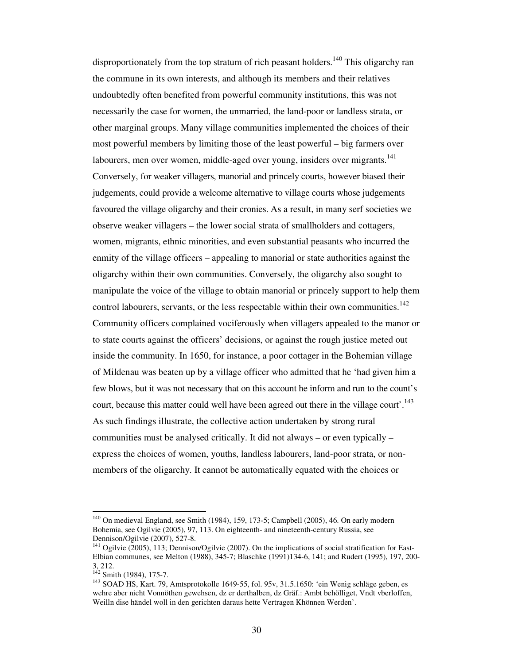disproportionately from the top stratum of rich peasant holders.<sup>140</sup> This oligarchy ran the commune in its own interests, and although its members and their relatives undoubtedly often benefited from powerful community institutions, this was not necessarily the case for women, the unmarried, the land-poor or landless strata, or other marginal groups. Many village communities implemented the choices of their most powerful members by limiting those of the least powerful – big farmers over labourers, men over women, middle-aged over young, insiders over migrants.<sup>141</sup> Conversely, for weaker villagers, manorial and princely courts, however biased their judgements, could provide a welcome alternative to village courts whose judgements favoured the village oligarchy and their cronies. As a result, in many serf societies we observe weaker villagers – the lower social strata of smallholders and cottagers, women, migrants, ethnic minorities, and even substantial peasants who incurred the enmity of the village officers – appealing to manorial or state authorities against the oligarchy within their own communities. Conversely, the oligarchy also sought to manipulate the voice of the village to obtain manorial or princely support to help them control labourers, servants, or the less respectable within their own communities.<sup>142</sup> Community officers complained vociferously when villagers appealed to the manor or to state courts against the officers' decisions, or against the rough justice meted out inside the community. In 1650, for instance, a poor cottager in the Bohemian village of Mildenau was beaten up by a village officer who admitted that he 'had given him a few blows, but it was not necessary that on this account he inform and run to the count's court, because this matter could well have been agreed out there in the village court'.<sup>143</sup> As such findings illustrate, the collective action undertaken by strong rural communities must be analysed critically. It did not always – or even typically – express the choices of women, youths, landless labourers, land-poor strata, or nonmembers of the oligarchy. It cannot be automatically equated with the choices or

<sup>&</sup>lt;sup>140</sup> On medieval England, see Smith (1984), 159, 173-5; Campbell (2005), 46. On early modern Bohemia, see Ogilvie (2005), 97, 113. On eighteenth- and nineteenth-century Russia, see Dennison/Ogilvie (2007), 527-8.

<sup>&</sup>lt;sup>141</sup> Ogilvie (2005), 113; Dennison/Ogilvie (2007). On the implications of social stratification for East-Elbian communes, see Melton (1988), 345-7; Blaschke (1991)134-6, 141; and Rudert (1995), 197, 200- 3, 212.

 $142$  Smith (1984), 175-7.

<sup>143</sup> SOAD HS, Kart. 79, Amtsprotokolle 1649-55, fol. 95v, 31.5.1650: 'ein Wenig schläge geben, es wehre aber nicht Vonnöthen gewehsen, dz er derthalben, dz Gräf.: Ambt behölliget, Vndt vberloffen, Weilln dise händel woll in den gerichten daraus hette Vertragen Khönnen Werden'.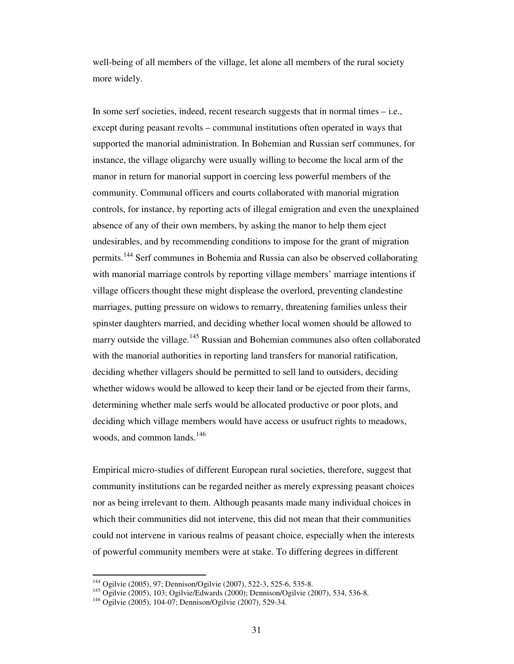well-being of all members of the village, let alone all members of the rural society more widely.

In some serf societies, indeed, recent research suggests that in normal times – i.e., except during peasant revolts – communal institutions often operated in ways that supported the manorial administration. In Bohemian and Russian serf communes, for instance, the village oligarchy were usually willing to become the local arm of the manor in return for manorial support in coercing less powerful members of the community. Communal officers and courts collaborated with manorial migration controls, for instance, by reporting acts of illegal emigration and even the unexplained absence of any of their own members, by asking the manor to help them eject undesirables, and by recommending conditions to impose for the grant of migration permits.<sup>144</sup> Serf communes in Bohemia and Russia can also be observed collaborating with manorial marriage controls by reporting village members' marriage intentions if village officers thought these might displease the overlord, preventing clandestine marriages, putting pressure on widows to remarry, threatening families unless their spinster daughters married, and deciding whether local women should be allowed to marry outside the village.<sup>145</sup> Russian and Bohemian communes also often collaborated with the manorial authorities in reporting land transfers for manorial ratification, deciding whether villagers should be permitted to sell land to outsiders, deciding whether widows would be allowed to keep their land or be ejected from their farms, determining whether male serfs would be allocated productive or poor plots, and deciding which village members would have access or usufruct rights to meadows, woods, and common lands.<sup>146</sup>

Empirical micro-studies of different European rural societies, therefore, suggest that community institutions can be regarded neither as merely expressing peasant choices nor as being irrelevant to them. Although peasants made many individual choices in which their communities did not intervene, this did not mean that their communities could not intervene in various realms of peasant choice, especially when the interests of powerful community members were at stake. To differing degrees in different

<sup>&</sup>lt;sup>144</sup> Ogilvie (2005), 97; Dennison/Ogilvie (2007), 522-3, 525-6, 535-8.

<sup>145</sup> Ogilvie (2005), 103; Ogilvie/Edwards (2000); Dennison/Ogilvie (2007), 534, 536-8.

<sup>146</sup> Ogilvie (2005), 104-07; Dennison/Ogilvie (2007), 529-34.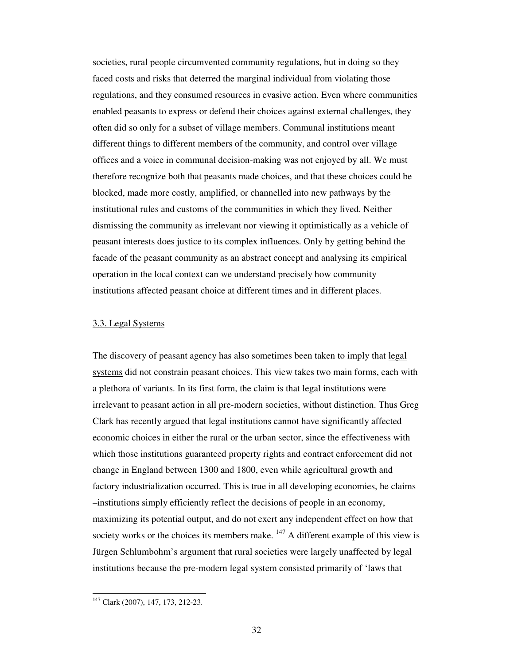societies, rural people circumvented community regulations, but in doing so they faced costs and risks that deterred the marginal individual from violating those regulations, and they consumed resources in evasive action. Even where communities enabled peasants to express or defend their choices against external challenges, they often did so only for a subset of village members. Communal institutions meant different things to different members of the community, and control over village offices and a voice in communal decision-making was not enjoyed by all. We must therefore recognize both that peasants made choices, and that these choices could be blocked, made more costly, amplified, or channelled into new pathways by the institutional rules and customs of the communities in which they lived. Neither dismissing the community as irrelevant nor viewing it optimistically as a vehicle of peasant interests does justice to its complex influences. Only by getting behind the facade of the peasant community as an abstract concept and analysing its empirical operation in the local context can we understand precisely how community institutions affected peasant choice at different times and in different places.

### 3.3. Legal Systems

The discovery of peasant agency has also sometimes been taken to imply that legal systems did not constrain peasant choices. This view takes two main forms, each with a plethora of variants. In its first form, the claim is that legal institutions were irrelevant to peasant action in all pre-modern societies, without distinction. Thus Greg Clark has recently argued that legal institutions cannot have significantly affected economic choices in either the rural or the urban sector, since the effectiveness with which those institutions guaranteed property rights and contract enforcement did not change in England between 1300 and 1800, even while agricultural growth and factory industrialization occurred. This is true in all developing economies, he claims –institutions simply efficiently reflect the decisions of people in an economy, maximizing its potential output, and do not exert any independent effect on how that society works or the choices its members make.  $147$  A different example of this view is Jürgen Schlumbohm's argument that rural societies were largely unaffected by legal institutions because the pre-modern legal system consisted primarily of 'laws that

<sup>&</sup>lt;sup>147</sup> Clark (2007), 147, 173, 212-23.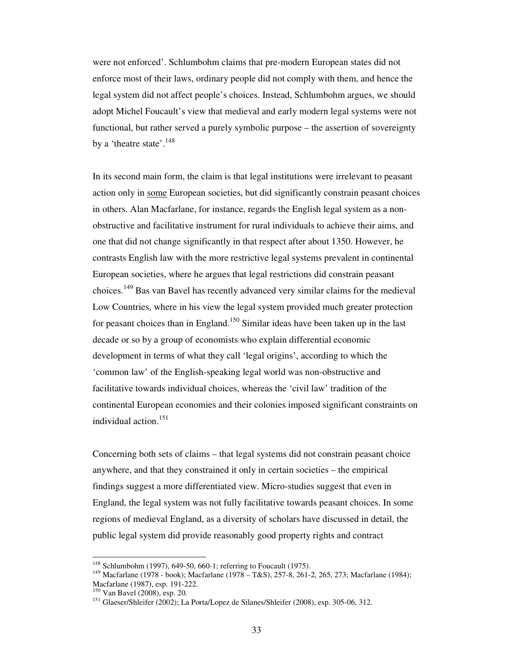were not enforced'. Schlumbohm claims that pre-modern European states did not enforce most of their laws, ordinary people did not comply with them, and hence the legal system did not affect people's choices. Instead, Schlumbohm argues, we should adopt Michel Foucault's view that medieval and early modern legal systems were not functional, but rather served a purely symbolic purpose – the assertion of sovereignty by a 'theatre state'.<sup>148</sup>

In its second main form, the claim is that legal institutions were irrelevant to peasant action only in some European societies, but did significantly constrain peasant choices in others. Alan Macfarlane, for instance, regards the English legal system as a nonobstructive and facilitative instrument for rural individuals to achieve their aims, and one that did not change significantly in that respect after about 1350. However, he contrasts English law with the more restrictive legal systems prevalent in continental European societies, where he argues that legal restrictions did constrain peasant choices.<sup>149</sup> Bas van Bavel has recently advanced very similar claims for the medieval Low Countries, where in his view the legal system provided much greater protection for peasant choices than in England.<sup>150</sup> Similar ideas have been taken up in the last decade or so by a group of economists who explain differential economic development in terms of what they call 'legal origins', according to which the 'common law' of the English-speaking legal world was non-obstructive and facilitative towards individual choices, whereas the 'civil law' tradition of the continental European economies and their colonies imposed significant constraints on individual action.<sup>151</sup>

Concerning both sets of claims – that legal systems did not constrain peasant choice anywhere, and that they constrained it only in certain societies – the empirical findings suggest a more differentiated view. Micro-studies suggest that even in England, the legal system was not fully facilitative towards peasant choices. In some regions of medieval England, as a diversity of scholars have discussed in detail, the public legal system did provide reasonably good property rights and contract

<sup>148</sup> Schlumbohm (1997), 649-50, 660-1; referring to Foucault (1975).

<sup>149</sup> Macfarlane (1978 - book); Macfarlane (1978 – T&S), 257-8, 261-2, 265, 273; Macfarlane (1984); Macfarlane (1987), esp. 191-222.

<sup>150</sup> Van Bavel (2008), esp. 20.

<sup>&</sup>lt;sup>151</sup> Glaeser/Shleifer (2002); La Porta/Lopez de Silanes/Shleifer (2008), esp. 305-06, 312.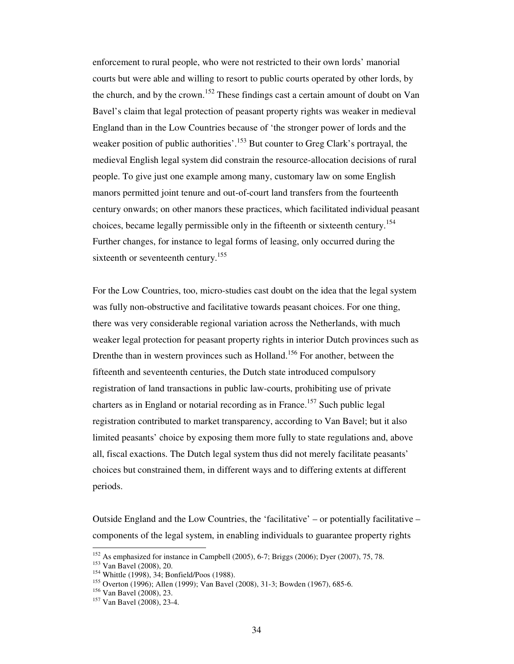enforcement to rural people, who were not restricted to their own lords' manorial courts but were able and willing to resort to public courts operated by other lords, by the church, and by the crown.<sup>152</sup> These findings cast a certain amount of doubt on Van Bavel's claim that legal protection of peasant property rights was weaker in medieval England than in the Low Countries because of 'the stronger power of lords and the weaker position of public authorities'.<sup>153</sup> But counter to Greg Clark's portrayal, the medieval English legal system did constrain the resource-allocation decisions of rural people. To give just one example among many, customary law on some English manors permitted joint tenure and out-of-court land transfers from the fourteenth century onwards; on other manors these practices, which facilitated individual peasant choices, became legally permissible only in the fifteenth or sixteenth century.<sup>154</sup> Further changes, for instance to legal forms of leasing, only occurred during the sixteenth or seventeenth century.<sup>155</sup>

For the Low Countries, too, micro-studies cast doubt on the idea that the legal system was fully non-obstructive and facilitative towards peasant choices. For one thing, there was very considerable regional variation across the Netherlands, with much weaker legal protection for peasant property rights in interior Dutch provinces such as Drenthe than in western provinces such as Holland.<sup>156</sup> For another, between the fifteenth and seventeenth centuries, the Dutch state introduced compulsory registration of land transactions in public law-courts, prohibiting use of private charters as in England or notarial recording as in France.<sup>157</sup> Such public legal registration contributed to market transparency, according to Van Bavel; but it also limited peasants' choice by exposing them more fully to state regulations and, above all, fiscal exactions. The Dutch legal system thus did not merely facilitate peasants' choices but constrained them, in different ways and to differing extents at different periods.

Outside England and the Low Countries, the 'facilitative' – or potentially facilitative – components of the legal system, in enabling individuals to guarantee property rights

 $152$  As emphasized for instance in Campbell (2005), 6-7; Briggs (2006); Dyer (2007), 75, 78.

<sup>153</sup> Van Bavel (2008), 20.

<sup>154</sup> Whittle (1998), 34; Bonfield/Poos (1988).

<sup>155</sup> Overton (1996); Allen (1999); Van Bavel (2008), 31-3; Bowden (1967), 685-6.

<sup>156</sup> Van Bavel (2008), 23.

<sup>157</sup> Van Bavel (2008), 23-4.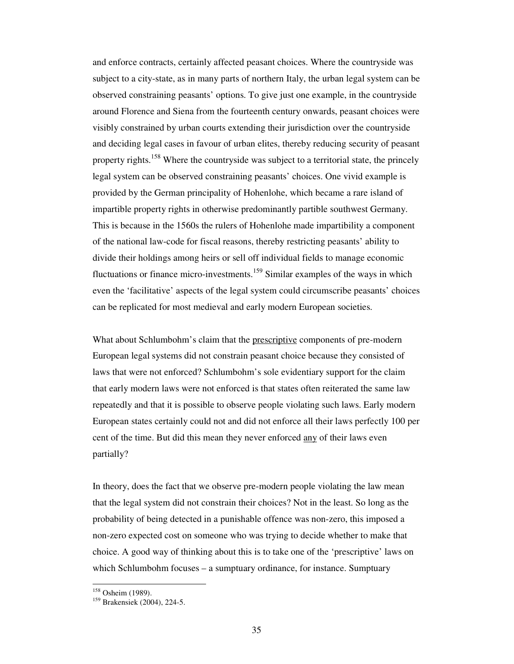and enforce contracts, certainly affected peasant choices. Where the countryside was subject to a city-state, as in many parts of northern Italy, the urban legal system can be observed constraining peasants' options. To give just one example, in the countryside around Florence and Siena from the fourteenth century onwards, peasant choices were visibly constrained by urban courts extending their jurisdiction over the countryside and deciding legal cases in favour of urban elites, thereby reducing security of peasant property rights.<sup>158</sup> Where the countryside was subject to a territorial state, the princely legal system can be observed constraining peasants' choices. One vivid example is provided by the German principality of Hohenlohe, which became a rare island of impartible property rights in otherwise predominantly partible southwest Germany. This is because in the 1560s the rulers of Hohenlohe made impartibility a component of the national law-code for fiscal reasons, thereby restricting peasants' ability to divide their holdings among heirs or sell off individual fields to manage economic fluctuations or finance micro-investments.<sup>159</sup> Similar examples of the ways in which even the 'facilitative' aspects of the legal system could circumscribe peasants' choices can be replicated for most medieval and early modern European societies.

What about Schlumbohm's claim that the prescriptive components of pre-modern European legal systems did not constrain peasant choice because they consisted of laws that were not enforced? Schlumbohm's sole evidentiary support for the claim that early modern laws were not enforced is that states often reiterated the same law repeatedly and that it is possible to observe people violating such laws. Early modern European states certainly could not and did not enforce all their laws perfectly 100 per cent of the time. But did this mean they never enforced any of their laws even partially?

In theory, does the fact that we observe pre-modern people violating the law mean that the legal system did not constrain their choices? Not in the least. So long as the probability of being detected in a punishable offence was non-zero, this imposed a non-zero expected cost on someone who was trying to decide whether to make that choice. A good way of thinking about this is to take one of the 'prescriptive' laws on which Schlumbohm focuses – a sumptuary ordinance, for instance. Sumptuary

<sup>158</sup> Osheim (1989).

<sup>159</sup> Brakensiek (2004), 224-5.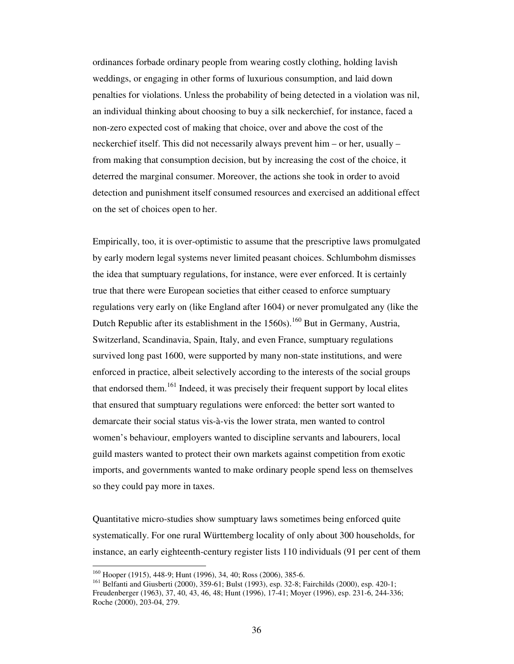ordinances forbade ordinary people from wearing costly clothing, holding lavish weddings, or engaging in other forms of luxurious consumption, and laid down penalties for violations. Unless the probability of being detected in a violation was nil, an individual thinking about choosing to buy a silk neckerchief, for instance, faced a non-zero expected cost of making that choice, over and above the cost of the neckerchief itself. This did not necessarily always prevent him – or her, usually – from making that consumption decision, but by increasing the cost of the choice, it deterred the marginal consumer. Moreover, the actions she took in order to avoid detection and punishment itself consumed resources and exercised an additional effect on the set of choices open to her.

Empirically, too, it is over-optimistic to assume that the prescriptive laws promulgated by early modern legal systems never limited peasant choices. Schlumbohm dismisses the idea that sumptuary regulations, for instance, were ever enforced. It is certainly true that there were European societies that either ceased to enforce sumptuary regulations very early on (like England after 1604) or never promulgated any (like the Dutch Republic after its establishment in the  $1560s$ ).<sup>160</sup> But in Germany, Austria, Switzerland, Scandinavia, Spain, Italy, and even France, sumptuary regulations survived long past 1600, were supported by many non-state institutions, and were enforced in practice, albeit selectively according to the interests of the social groups that endorsed them.<sup>161</sup> Indeed, it was precisely their frequent support by local elites that ensured that sumptuary regulations were enforced: the better sort wanted to demarcate their social status vis-à-vis the lower strata, men wanted to control women's behaviour, employers wanted to discipline servants and labourers, local guild masters wanted to protect their own markets against competition from exotic imports, and governments wanted to make ordinary people spend less on themselves so they could pay more in taxes.

Quantitative micro-studies show sumptuary laws sometimes being enforced quite systematically. For one rural Württemberg locality of only about 300 households, for instance, an early eighteenth-century register lists 110 individuals (91 per cent of them

<sup>160</sup> Hooper (1915), 448-9; Hunt (1996), 34, 40; Ross (2006), 385-6.

<sup>161</sup> Belfanti and Giusberti (2000), 359-61; Bulst (1993), esp. 32-8; Fairchilds (2000), esp. 420-1; Freudenberger (1963), 37, 40, 43, 46, 48; Hunt (1996), 17-41; Moyer (1996), esp. 231-6, 244-336; Roche (2000), 203-04, 279.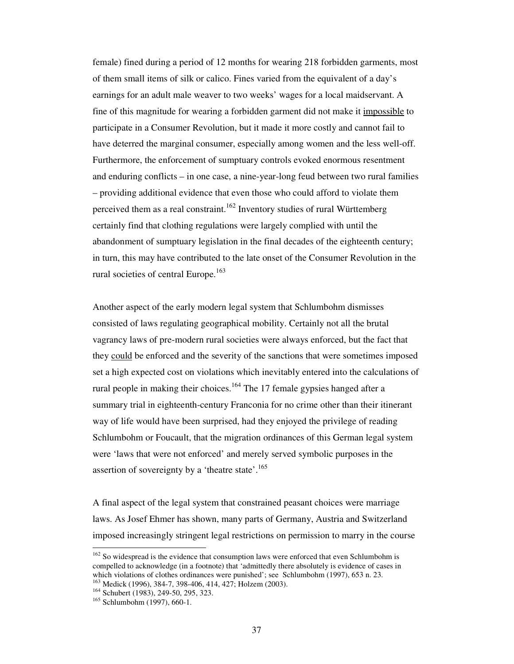female) fined during a period of 12 months for wearing 218 forbidden garments, most of them small items of silk or calico. Fines varied from the equivalent of a day's earnings for an adult male weaver to two weeks' wages for a local maidservant. A fine of this magnitude for wearing a forbidden garment did not make it impossible to participate in a Consumer Revolution, but it made it more costly and cannot fail to have deterred the marginal consumer, especially among women and the less well-off. Furthermore, the enforcement of sumptuary controls evoked enormous resentment and enduring conflicts – in one case, a nine-year-long feud between two rural families – providing additional evidence that even those who could afford to violate them perceived them as a real constraint.<sup>162</sup> Inventory studies of rural Württemberg certainly find that clothing regulations were largely complied with until the abandonment of sumptuary legislation in the final decades of the eighteenth century; in turn, this may have contributed to the late onset of the Consumer Revolution in the rural societies of central Europe.<sup>163</sup>

Another aspect of the early modern legal system that Schlumbohm dismisses consisted of laws regulating geographical mobility. Certainly not all the brutal vagrancy laws of pre-modern rural societies were always enforced, but the fact that they could be enforced and the severity of the sanctions that were sometimes imposed set a high expected cost on violations which inevitably entered into the calculations of rural people in making their choices.<sup>164</sup> The 17 female gypsies hanged after a summary trial in eighteenth-century Franconia for no crime other than their itinerant way of life would have been surprised, had they enjoyed the privilege of reading Schlumbohm or Foucault, that the migration ordinances of this German legal system were 'laws that were not enforced' and merely served symbolic purposes in the assertion of sovereignty by a 'theatre state'.<sup>165</sup>

A final aspect of the legal system that constrained peasant choices were marriage laws. As Josef Ehmer has shown, many parts of Germany, Austria and Switzerland imposed increasingly stringent legal restrictions on permission to marry in the course

 $162$  So widespread is the evidence that consumption laws were enforced that even Schlumbohm is compelled to acknowledge (in a footnote) that 'admittedly there absolutely is evidence of cases in which violations of clothes ordinances were punished'; see Schlumbohm (1997), 653 n. 23.

Medick (1996), 384-7, 398-406, 414, 427; Holzem (2003).

<sup>164</sup> Schubert (1983), 249-50, 295, 323.

<sup>165</sup> Schlumbohm (1997), 660-1.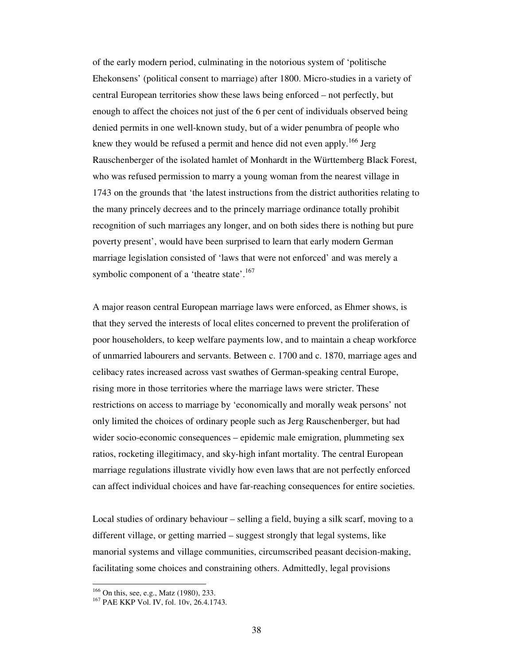of the early modern period, culminating in the notorious system of 'politische Ehekonsens' (political consent to marriage) after 1800. Micro-studies in a variety of central European territories show these laws being enforced – not perfectly, but enough to affect the choices not just of the 6 per cent of individuals observed being denied permits in one well-known study, but of a wider penumbra of people who knew they would be refused a permit and hence did not even apply.<sup>166</sup> Jerg Rauschenberger of the isolated hamlet of Monhardt in the Württemberg Black Forest, who was refused permission to marry a young woman from the nearest village in 1743 on the grounds that 'the latest instructions from the district authorities relating to the many princely decrees and to the princely marriage ordinance totally prohibit recognition of such marriages any longer, and on both sides there is nothing but pure poverty present', would have been surprised to learn that early modern German marriage legislation consisted of 'laws that were not enforced' and was merely a symbolic component of a 'theatre state'.<sup>167</sup>

A major reason central European marriage laws were enforced, as Ehmer shows, is that they served the interests of local elites concerned to prevent the proliferation of poor householders, to keep welfare payments low, and to maintain a cheap workforce of unmarried labourers and servants. Between c. 1700 and c. 1870, marriage ages and celibacy rates increased across vast swathes of German-speaking central Europe, rising more in those territories where the marriage laws were stricter. These restrictions on access to marriage by 'economically and morally weak persons' not only limited the choices of ordinary people such as Jerg Rauschenberger, but had wider socio-economic consequences – epidemic male emigration, plummeting sex ratios, rocketing illegitimacy, and sky-high infant mortality. The central European marriage regulations illustrate vividly how even laws that are not perfectly enforced can affect individual choices and have far-reaching consequences for entire societies.

Local studies of ordinary behaviour – selling a field, buying a silk scarf, moving to a different village, or getting married – suggest strongly that legal systems, like manorial systems and village communities, circumscribed peasant decision-making, facilitating some choices and constraining others. Admittedly, legal provisions

<sup>166</sup> On this, see, e.g., Matz (1980), 233.

<sup>&</sup>lt;sup>167</sup> PAE KKP Vol. IV, fol. 10v, 26, 4, 1743.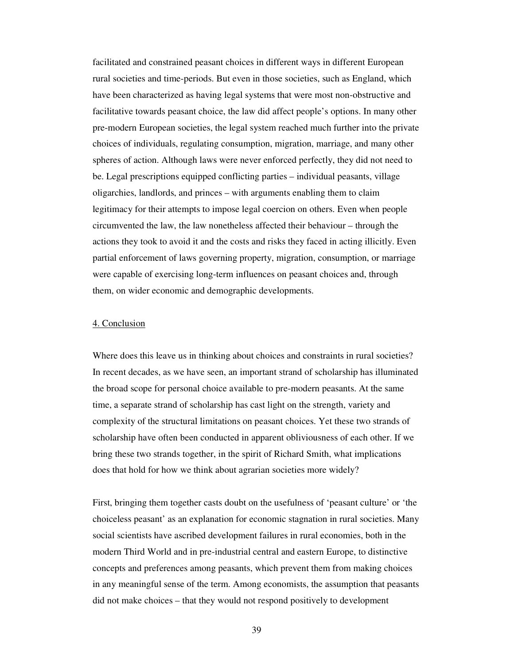facilitated and constrained peasant choices in different ways in different European rural societies and time-periods. But even in those societies, such as England, which have been characterized as having legal systems that were most non-obstructive and facilitative towards peasant choice, the law did affect people's options. In many other pre-modern European societies, the legal system reached much further into the private choices of individuals, regulating consumption, migration, marriage, and many other spheres of action. Although laws were never enforced perfectly, they did not need to be. Legal prescriptions equipped conflicting parties – individual peasants, village oligarchies, landlords, and princes – with arguments enabling them to claim legitimacy for their attempts to impose legal coercion on others. Even when people circumvented the law, the law nonetheless affected their behaviour – through the actions they took to avoid it and the costs and risks they faced in acting illicitly. Even partial enforcement of laws governing property, migration, consumption, or marriage were capable of exercising long-term influences on peasant choices and, through them, on wider economic and demographic developments.

### 4. Conclusion

Where does this leave us in thinking about choices and constraints in rural societies? In recent decades, as we have seen, an important strand of scholarship has illuminated the broad scope for personal choice available to pre-modern peasants. At the same time, a separate strand of scholarship has cast light on the strength, variety and complexity of the structural limitations on peasant choices. Yet these two strands of scholarship have often been conducted in apparent obliviousness of each other. If we bring these two strands together, in the spirit of Richard Smith, what implications does that hold for how we think about agrarian societies more widely?

First, bringing them together casts doubt on the usefulness of 'peasant culture' or 'the choiceless peasant' as an explanation for economic stagnation in rural societies. Many social scientists have ascribed development failures in rural economies, both in the modern Third World and in pre-industrial central and eastern Europe, to distinctive concepts and preferences among peasants, which prevent them from making choices in any meaningful sense of the term. Among economists, the assumption that peasants did not make choices – that they would not respond positively to development

39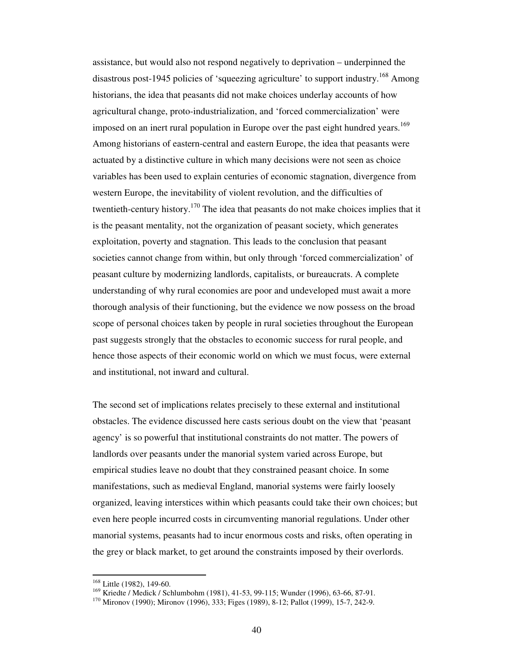assistance, but would also not respond negatively to deprivation – underpinned the disastrous post-1945 policies of 'squeezing agriculture' to support industry.<sup>168</sup> Among historians, the idea that peasants did not make choices underlay accounts of how agricultural change, proto-industrialization, and 'forced commercialization' were imposed on an inert rural population in Europe over the past eight hundred years.<sup>169</sup> Among historians of eastern-central and eastern Europe, the idea that peasants were actuated by a distinctive culture in which many decisions were not seen as choice variables has been used to explain centuries of economic stagnation, divergence from western Europe, the inevitability of violent revolution, and the difficulties of twentieth-century history.<sup>170</sup> The idea that peasants do not make choices implies that it is the peasant mentality, not the organization of peasant society, which generates exploitation, poverty and stagnation. This leads to the conclusion that peasant societies cannot change from within, but only through 'forced commercialization' of peasant culture by modernizing landlords, capitalists, or bureaucrats. A complete understanding of why rural economies are poor and undeveloped must await a more thorough analysis of their functioning, but the evidence we now possess on the broad scope of personal choices taken by people in rural societies throughout the European past suggests strongly that the obstacles to economic success for rural people, and hence those aspects of their economic world on which we must focus, were external and institutional, not inward and cultural.

The second set of implications relates precisely to these external and institutional obstacles. The evidence discussed here casts serious doubt on the view that 'peasant agency' is so powerful that institutional constraints do not matter. The powers of landlords over peasants under the manorial system varied across Europe, but empirical studies leave no doubt that they constrained peasant choice. In some manifestations, such as medieval England, manorial systems were fairly loosely organized, leaving interstices within which peasants could take their own choices; but even here people incurred costs in circumventing manorial regulations. Under other manorial systems, peasants had to incur enormous costs and risks, often operating in the grey or black market, to get around the constraints imposed by their overlords.

 $168$  Little (1982), 149-60.

<sup>169</sup> Kriedte / Medick / Schlumbohm (1981), 41-53, 99-115; Wunder (1996), 63-66, 87-91.

<sup>170</sup> Mironov (1990); Mironov (1996), 333; Figes (1989), 8-12; Pallot (1999), 15-7, 242-9.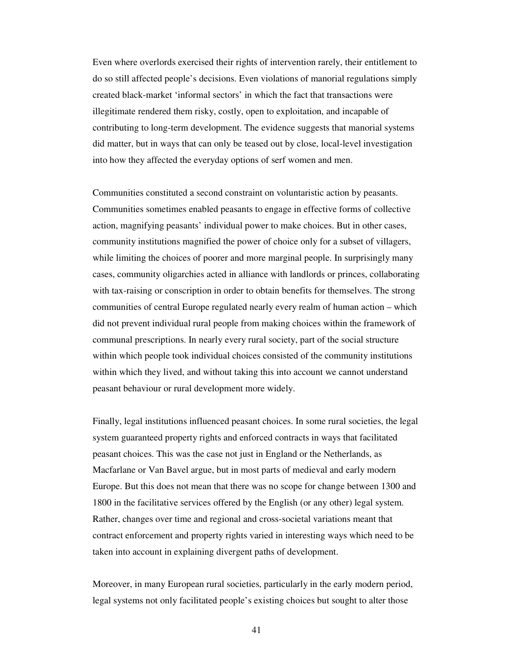Even where overlords exercised their rights of intervention rarely, their entitlement to do so still affected people's decisions. Even violations of manorial regulations simply created black-market 'informal sectors' in which the fact that transactions were illegitimate rendered them risky, costly, open to exploitation, and incapable of contributing to long-term development. The evidence suggests that manorial systems did matter, but in ways that can only be teased out by close, local-level investigation into how they affected the everyday options of serf women and men.

Communities constituted a second constraint on voluntaristic action by peasants. Communities sometimes enabled peasants to engage in effective forms of collective action, magnifying peasants' individual power to make choices. But in other cases, community institutions magnified the power of choice only for a subset of villagers, while limiting the choices of poorer and more marginal people. In surprisingly many cases, community oligarchies acted in alliance with landlords or princes, collaborating with tax-raising or conscription in order to obtain benefits for themselves. The strong communities of central Europe regulated nearly every realm of human action – which did not prevent individual rural people from making choices within the framework of communal prescriptions. In nearly every rural society, part of the social structure within which people took individual choices consisted of the community institutions within which they lived, and without taking this into account we cannot understand peasant behaviour or rural development more widely.

Finally, legal institutions influenced peasant choices. In some rural societies, the legal system guaranteed property rights and enforced contracts in ways that facilitated peasant choices. This was the case not just in England or the Netherlands, as Macfarlane or Van Bavel argue, but in most parts of medieval and early modern Europe. But this does not mean that there was no scope for change between 1300 and 1800 in the facilitative services offered by the English (or any other) legal system. Rather, changes over time and regional and cross-societal variations meant that contract enforcement and property rights varied in interesting ways which need to be taken into account in explaining divergent paths of development.

Moreover, in many European rural societies, particularly in the early modern period, legal systems not only facilitated people's existing choices but sought to alter those

41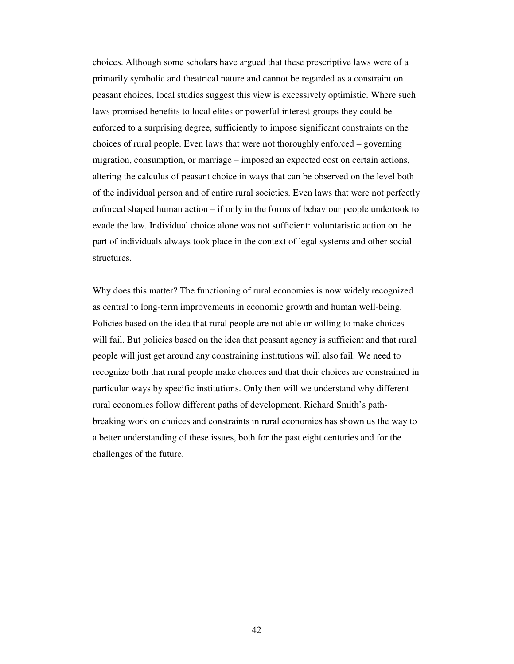choices. Although some scholars have argued that these prescriptive laws were of a primarily symbolic and theatrical nature and cannot be regarded as a constraint on peasant choices, local studies suggest this view is excessively optimistic. Where such laws promised benefits to local elites or powerful interest-groups they could be enforced to a surprising degree, sufficiently to impose significant constraints on the choices of rural people. Even laws that were not thoroughly enforced – governing migration, consumption, or marriage – imposed an expected cost on certain actions, altering the calculus of peasant choice in ways that can be observed on the level both of the individual person and of entire rural societies. Even laws that were not perfectly enforced shaped human action – if only in the forms of behaviour people undertook to evade the law. Individual choice alone was not sufficient: voluntaristic action on the part of individuals always took place in the context of legal systems and other social structures.

Why does this matter? The functioning of rural economies is now widely recognized as central to long-term improvements in economic growth and human well-being. Policies based on the idea that rural people are not able or willing to make choices will fail. But policies based on the idea that peasant agency is sufficient and that rural people will just get around any constraining institutions will also fail. We need to recognize both that rural people make choices and that their choices are constrained in particular ways by specific institutions. Only then will we understand why different rural economies follow different paths of development. Richard Smith's pathbreaking work on choices and constraints in rural economies has shown us the way to a better understanding of these issues, both for the past eight centuries and for the challenges of the future.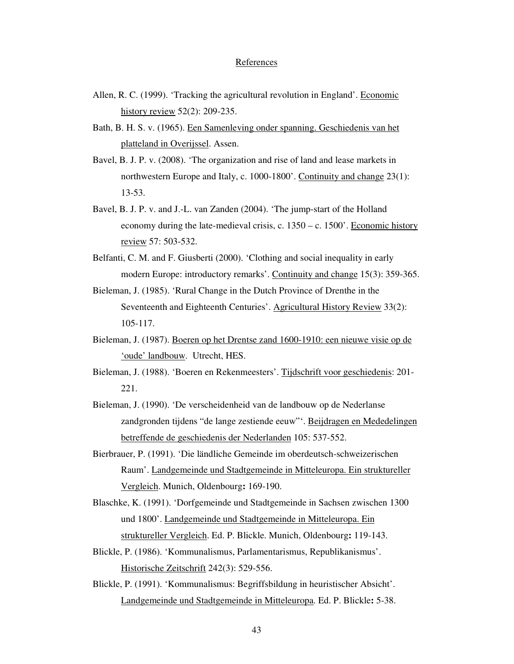## **References**

- Allen, R. C. (1999). 'Tracking the agricultural revolution in England'. Economic history review 52(2): 209-235.
- Bath, B. H. S. v. (1965). Een Samenleving onder spanning. Geschiedenis van het platteland in Overijssel. Assen.
- Bavel, B. J. P. v. (2008). 'The organization and rise of land and lease markets in northwestern Europe and Italy, c. 1000-1800'. Continuity and change 23(1): 13-53.
- Bavel, B. J. P. v. and J.-L. van Zanden (2004). 'The jump-start of the Holland economy during the late-medieval crisis, c. 1350 – c. 1500'. Economic history review 57: 503-532.
- Belfanti, C. M. and F. Giusberti (2000). 'Clothing and social inequality in early modern Europe: introductory remarks'. Continuity and change 15(3): 359-365.
- Bieleman, J. (1985). 'Rural Change in the Dutch Province of Drenthe in the Seventeenth and Eighteenth Centuries'. Agricultural History Review 33(2): 105-117.
- Bieleman, J. (1987). Boeren op het Drentse zand 1600-1910: een nieuwe visie op de 'oude' landbouw. Utrecht, HES.
- Bieleman, J. (1988). 'Boeren en Rekenmeesters'. Tijdschrift voor geschiedenis: 201- 221.
- Bieleman, J. (1990). 'De verscheidenheid van de landbouw op de Nederlanse zandgronden tijdens "de lange zestiende eeuw"'. Beijdragen en Mededelingen betreffende de geschiedenis der Nederlanden 105: 537-552.
- Bierbrauer, P. (1991). 'Die ländliche Gemeinde im oberdeutsch-schweizerischen Raum'. Landgemeinde und Stadtgemeinde in Mitteleuropa. Ein struktureller Vergleich. Munich, Oldenbourg**:** 169-190.
- Blaschke, K. (1991). 'Dorfgemeinde und Stadtgemeinde in Sachsen zwischen 1300 und 1800'. Landgemeinde und Stadtgemeinde in Mitteleuropa. Ein struktureller Vergleich. Ed. P. Blickle. Munich, Oldenbourg**:** 119-143.
- Blickle, P. (1986). 'Kommunalismus, Parlamentarismus, Republikanismus'. Historische Zeitschrift 242(3): 529-556.
- Blickle, P. (1991). 'Kommunalismus: Begriffsbildung in heuristischer Absicht'. Landgemeinde und Stadtgemeinde in Mitteleuropa. Ed. P. Blickle**:** 5-38.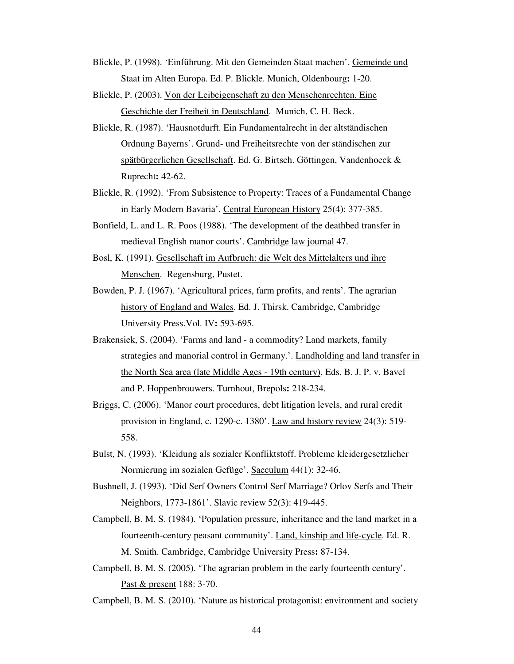- Blickle, P. (1998). 'Einführung. Mit den Gemeinden Staat machen'. Gemeinde und Staat im Alten Europa. Ed. P. Blickle. Munich, Oldenbourg**:** 1-20.
- Blickle, P. (2003). Von der Leibeigenschaft zu den Menschenrechten. Eine Geschichte der Freiheit in Deutschland. Munich, C. H. Beck.
- Blickle, R. (1987). 'Hausnotdurft. Ein Fundamentalrecht in der altständischen Ordnung Bayerns'. Grund- und Freiheitsrechte von der ständischen zur spätbürgerlichen Gesellschaft. Ed. G. Birtsch. Göttingen, Vandenhoeck & Ruprecht**:** 42-62.
- Blickle, R. (1992). 'From Subsistence to Property: Traces of a Fundamental Change in Early Modern Bavaria'. Central European History 25(4): 377-385.
- Bonfield, L. and L. R. Poos (1988). 'The development of the deathbed transfer in medieval English manor courts'. Cambridge law journal 47.
- Bosl, K. (1991). Gesellschaft im Aufbruch: die Welt des Mittelalters und ihre Menschen. Regensburg, Pustet.
- Bowden, P. J. (1967). 'Agricultural prices, farm profits, and rents'. The agrarian history of England and Wales. Ed. J. Thirsk. Cambridge, Cambridge University Press.Vol. IV**:** 593-695.
- Brakensiek, S. (2004). 'Farms and land a commodity? Land markets, family strategies and manorial control in Germany.'. Landholding and land transfer in the North Sea area (late Middle Ages - 19th century). Eds. B. J. P. v. Bavel and P. Hoppenbrouwers. Turnhout, Brepols**:** 218-234.
- Briggs, C. (2006). 'Manor court procedures, debt litigation levels, and rural credit provision in England, c. 1290-c. 1380'. Law and history review 24(3): 519- 558.
- Bulst, N. (1993). 'Kleidung als sozialer Konfliktstoff. Probleme kleidergesetzlicher Normierung im sozialen Gefüge'. Saeculum 44(1): 32-46.
- Bushnell, J. (1993). 'Did Serf Owners Control Serf Marriage? Orlov Serfs and Their Neighbors, 1773-1861'. Slavic review 52(3): 419-445.
- Campbell, B. M. S. (1984). 'Population pressure, inheritance and the land market in a fourteenth-century peasant community'. Land, kinship and life-cycle. Ed. R. M. Smith. Cambridge, Cambridge University Press**:** 87-134.
- Campbell, B. M. S. (2005). 'The agrarian problem in the early fourteenth century'. Past & present 188: 3-70.

Campbell, B. M. S. (2010). 'Nature as historical protagonist: environment and society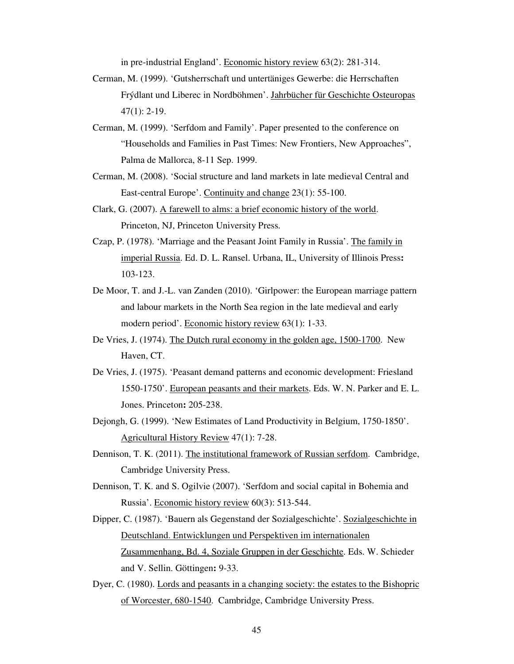in pre-industrial England'. Economic history review 63(2): 281-314.

- Cerman, M. (1999). 'Gutsherrschaft und untertäniges Gewerbe: die Herrschaften Frýdlant und Liberec in Nordböhmen'. Jahrbücher für Geschichte Osteuropas 47(1): 2-19.
- Cerman, M. (1999). 'Serfdom and Family'. Paper presented to the conference on "Households and Families in Past Times: New Frontiers, New Approaches", Palma de Mallorca, 8-11 Sep. 1999.
- Cerman, M. (2008). 'Social structure and land markets in late medieval Central and East-central Europe'. Continuity and change 23(1): 55-100.
- Clark, G. (2007). A farewell to alms: a brief economic history of the world. Princeton, NJ, Princeton University Press.
- Czap, P. (1978). 'Marriage and the Peasant Joint Family in Russia'. The family in imperial Russia. Ed. D. L. Ransel. Urbana, IL, University of Illinois Press**:**  103-123.
- De Moor, T. and J.-L. van Zanden (2010). 'Girlpower: the European marriage pattern and labour markets in the North Sea region in the late medieval and early modern period'. Economic history review 63(1): 1-33.
- De Vries, J. (1974). The Dutch rural economy in the golden age, 1500-1700. New Haven, CT.
- De Vries, J. (1975). 'Peasant demand patterns and economic development: Friesland 1550-1750'. European peasants and their markets. Eds. W. N. Parker and E. L. Jones. Princeton**:** 205-238.
- Dejongh, G. (1999). 'New Estimates of Land Productivity in Belgium, 1750-1850'. Agricultural History Review 47(1): 7-28.
- Dennison, T. K. (2011). The institutional framework of Russian serfdom. Cambridge, Cambridge University Press.
- Dennison, T. K. and S. Ogilvie (2007). 'Serfdom and social capital in Bohemia and Russia'. Economic history review 60(3): 513-544.
- Dipper, C. (1987). 'Bauern als Gegenstand der Sozialgeschichte'. Sozialgeschichte in Deutschland. Entwicklungen und Perspektiven im internationalen Zusammenhang, Bd. 4, Soziale Gruppen in der Geschichte. Eds. W. Schieder and V. Sellin. Göttingen**:** 9-33.
- Dyer, C. (1980). Lords and peasants in a changing society: the estates to the Bishopric of Worcester, 680-1540. Cambridge, Cambridge University Press.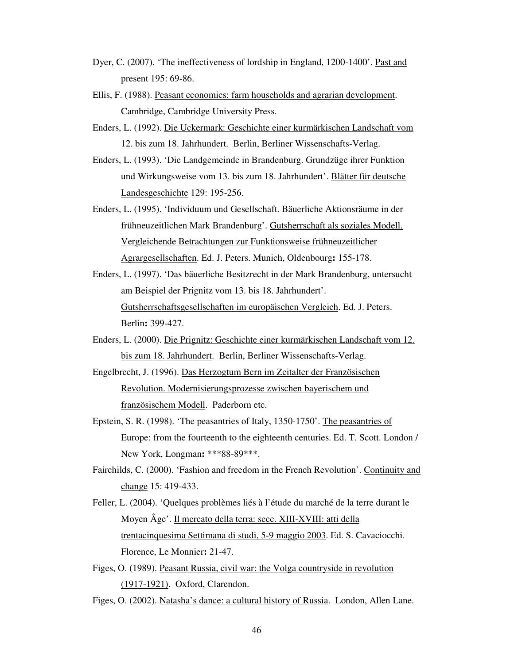- Dyer, C. (2007). 'The ineffectiveness of lordship in England, 1200-1400'. Past and present 195: 69-86.
- Ellis, F. (1988). Peasant economics: farm households and agrarian development. Cambridge, Cambridge University Press.
- Enders, L. (1992). Die Uckermark: Geschichte einer kurmärkischen Landschaft vom 12. bis zum 18. Jahrhundert. Berlin, Berliner Wissenschafts-Verlag.
- Enders, L. (1993). 'Die Landgemeinde in Brandenburg. Grundzüge ihrer Funktion und Wirkungsweise vom 13. bis zum 18. Jahrhundert'. Blätter für deutsche Landesgeschichte 129: 195-256.
- Enders, L. (1995). 'Individuum und Gesellschaft. Bäuerliche Aktionsräume in der frühneuzeitlichen Mark Brandenburg'. Gutsherrschaft als soziales Modell. Vergleichende Betrachtungen zur Funktionsweise frühneuzeitlicher Agrargesellschaften. Ed. J. Peters. Munich, Oldenbourg**:** 155-178.
- Enders, L. (1997). 'Das bäuerliche Besitzrecht in der Mark Brandenburg, untersucht am Beispiel der Prignitz vom 13. bis 18. Jahrhundert'. Gutsherrschaftsgesellschaften im europäischen Vergleich. Ed. J. Peters. Berlin**:** 399-427.
- Enders, L. (2000). Die Prignitz: Geschichte einer kurmärkischen Landschaft vom 12. bis zum 18. Jahrhundert. Berlin, Berliner Wissenschafts-Verlag.
- Engelbrecht, J. (1996). Das Herzogtum Bern im Zeitalter der Französischen Revolution. Modernisierungsprozesse zwischen bayerischem und französischem Modell. Paderborn etc.
- Epstein, S. R. (1998). 'The peasantries of Italy, 1350-1750'. The peasantries of Europe: from the fourteenth to the eighteenth centuries. Ed. T. Scott. London / New York, Longman**:** \*\*\*88-89\*\*\*.
- Fairchilds, C. (2000). 'Fashion and freedom in the French Revolution'. Continuity and change 15: 419-433.
- Feller, L. (2004). 'Quelques problèmes liés à l'étude du marché de la terre durant le Moyen Âge'. Il mercato della terra: secc. XIII-XVIII: atti della trentacinquesima Settimana di studi, 5-9 maggio 2003. Ed. S. Cavaciocchi. Florence, Le Monnier**:** 21-47.
- Figes, O. (1989). Peasant Russia, civil war: the Volga countryside in revolution (1917-1921). Oxford, Clarendon.
- Figes, O. (2002). Natasha's dance: a cultural history of Russia. London, Allen Lane.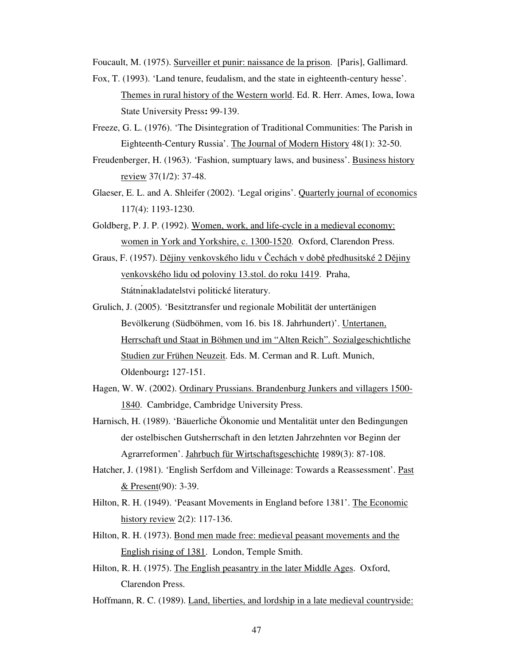Foucault, M. (1975). Surveiller et punir: naissance de la prison. [Paris], Gallimard.

- Fox, T. (1993). 'Land tenure, feudalism, and the state in eighteenth-century hesse'. Themes in rural history of the Western world. Ed. R. Herr. Ames, Iowa, Iowa State University Press**:** 99-139.
- Freeze, G. L. (1976). 'The Disintegration of Traditional Communities: The Parish in Eighteenth-Century Russia'. The Journal of Modern History 48(1): 32-50.
- Freudenberger, H. (1963). 'Fashion, sumptuary laws, and business'. Business history review 37(1/2): 37-48.
- Glaeser, E. L. and A. Shleifer (2002). 'Legal origins'. Quarterly journal of economics 117(4): 1193-1230.
- Goldberg, P. J. P. (1992). Women, work, and life-cycle in a medieval economy: women in York and Yorkshire, c. 1300-1520. Oxford, Clarendon Press.
- Graus, F. (1957). Dějiny venkovského lidu v Čechách v době předhusitské 2 Dějiny venkovského lidu od poloviny 13.stol. do roku 1419. Praha, Státnınakladatelstvi politické literatury.
- Grulich, J. (2005). 'Besitztransfer und regionale Mobilität der untertänigen Bevölkerung (Südböhmen, vom 16. bis 18. Jahrhundert)'. Untertanen, Herrschaft und Staat in Böhmen und im "Alten Reich". Sozialgeschichtliche Studien zur Frühen Neuzeit. Eds. M. Cerman and R. Luft. Munich, Oldenbourg**:** 127-151.
- Hagen, W. W. (2002). Ordinary Prussians. Brandenburg Junkers and villagers 1500- 1840. Cambridge, Cambridge University Press.
- Harnisch, H. (1989). 'Bäuerliche Ökonomie und Mentalität unter den Bedingungen der ostelbischen Gutsherrschaft in den letzten Jahrzehnten vor Beginn der Agrarreformen'. Jahrbuch für Wirtschaftsgeschichte 1989(3): 87-108.
- Hatcher, J. (1981). 'English Serfdom and Villeinage: Towards a Reassessment'. Past & Present(90): 3-39.
- Hilton, R. H. (1949). 'Peasant Movements in England before 1381'. The Economic history review 2(2): 117-136.
- Hilton, R. H. (1973). Bond men made free: medieval peasant movements and the English rising of 1381. London, Temple Smith.
- Hilton, R. H. (1975). The English peasantry in the later Middle Ages. Oxford, Clarendon Press.
- Hoffmann, R. C. (1989). Land, liberties, and lordship in a late medieval countryside: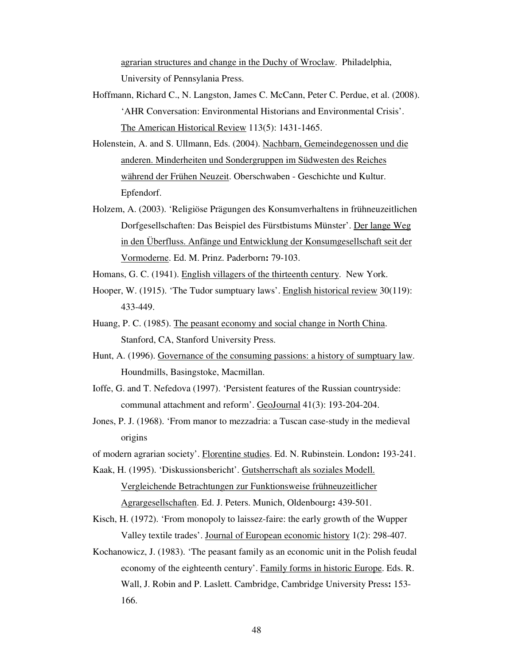agrarian structures and change in the Duchy of Wroclaw. Philadelphia, University of Pennsylania Press.

- Hoffmann, Richard C., N. Langston, James C. McCann, Peter C. Perdue, et al. (2008). 'AHR Conversation: Environmental Historians and Environmental Crisis'. The American Historical Review 113(5): 1431-1465.
- Holenstein, A. and S. Ullmann, Eds. (2004). Nachbarn, Gemeindegenossen und die anderen. Minderheiten und Sondergruppen im Südwesten des Reiches während der Frühen Neuzeit. Oberschwaben - Geschichte und Kultur. Epfendorf.
- Holzem, A. (2003). 'Religiöse Prägungen des Konsumverhaltens in frühneuzeitlichen Dorfgesellschaften: Das Beispiel des Fürstbistums Münster'. Der lange Weg in den Überfluss. Anfänge und Entwicklung der Konsumgesellschaft seit der Vormoderne. Ed. M. Prinz. Paderborn**:** 79-103.
- Homans, G. C. (1941). English villagers of the thirteenth century. New York.
- Hooper, W. (1915). 'The Tudor sumptuary laws'. English historical review 30(119): 433-449.
- Huang, P. C. (1985). The peasant economy and social change in North China. Stanford, CA, Stanford University Press.
- Hunt, A. (1996). Governance of the consuming passions: a history of sumptuary law. Houndmills, Basingstoke, Macmillan.
- Ioffe, G. and T. Nefedova (1997). 'Persistent features of the Russian countryside: communal attachment and reform'. GeoJournal 41(3): 193-204-204.
- Jones, P. J. (1968). 'From manor to mezzadria: a Tuscan case-study in the medieval origins
- of modern agrarian society'. Florentine studies. Ed. N. Rubinstein. London**:** 193-241.
- Kaak, H. (1995). 'Diskussionsbericht'. Gutsherrschaft als soziales Modell. Vergleichende Betrachtungen zur Funktionsweise frühneuzeitlicher Agrargesellschaften. Ed. J. Peters. Munich, Oldenbourg**:** 439-501.
- Kisch, H. (1972). 'From monopoly to laissez-faire: the early growth of the Wupper Valley textile trades'. Journal of European economic history 1(2): 298-407.
- Kochanowicz, J. (1983). 'The peasant family as an economic unit in the Polish feudal economy of the eighteenth century'. Family forms in historic Europe. Eds. R. Wall, J. Robin and P. Laslett. Cambridge, Cambridge University Press**:** 153- 166.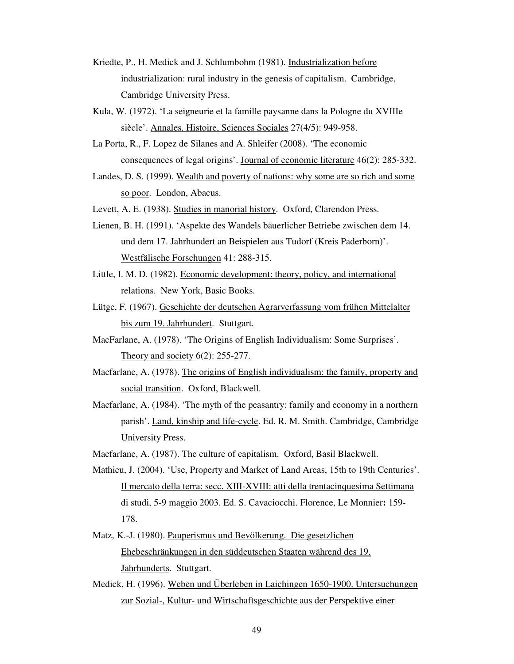- Kriedte, P., H. Medick and J. Schlumbohm (1981). Industrialization before industrialization: rural industry in the genesis of capitalism. Cambridge, Cambridge University Press.
- Kula, W. (1972). 'La seigneurie et la famille paysanne dans la Pologne du XVIIIe siècle'. Annales. Histoire, Sciences Sociales 27(4/5): 949-958.
- La Porta, R., F. Lopez de Silanes and A. Shleifer (2008). 'The economic consequences of legal origins'. Journal of economic literature 46(2): 285-332.
- Landes, D. S. (1999). Wealth and poverty of nations: why some are so rich and some so poor. London, Abacus.

Levett, A. E. (1938). Studies in manorial history. Oxford, Clarendon Press.

- Lienen, B. H. (1991). 'Aspekte des Wandels bäuerlicher Betriebe zwischen dem 14. und dem 17. Jahrhundert an Beispielen aus Tudorf (Kreis Paderborn)'. Westfälische Forschungen 41: 288-315.
- Little, I. M. D. (1982). Economic development: theory, policy, and international relations. New York, Basic Books.
- Lütge, F. (1967). Geschichte der deutschen Agrarverfassung vom frühen Mittelalter bis zum 19. Jahrhundert. Stuttgart.
- MacFarlane, A. (1978). 'The Origins of English Individualism: Some Surprises'. Theory and society 6(2): 255-277.
- Macfarlane, A. (1978). The origins of English individualism: the family, property and social transition. Oxford, Blackwell.
- Macfarlane, A. (1984). 'The myth of the peasantry: family and economy in a northern parish'. Land, kinship and life-cycle. Ed. R. M. Smith. Cambridge, Cambridge University Press.
- Macfarlane, A. (1987). The culture of capitalism. Oxford, Basil Blackwell.
- Mathieu, J. (2004). 'Use, Property and Market of Land Areas, 15th to 19th Centuries'. Il mercato della terra: secc. XIII-XVIII: atti della trentacinquesima Settimana di studi, 5-9 maggio 2003. Ed. S. Cavaciocchi. Florence, Le Monnier**:** 159- 178.
- Matz, K.-J. (1980). Pauperismus und Bevölkerung. Die gesetzlichen Ehebeschränkungen in den süddeutschen Staaten während des 19. Jahrhunderts. Stuttgart.
- Medick, H. (1996). Weben und Überleben in Laichingen 1650-1900. Untersuchungen zur Sozial-, Kultur- und Wirtschaftsgeschichte aus der Perspektive einer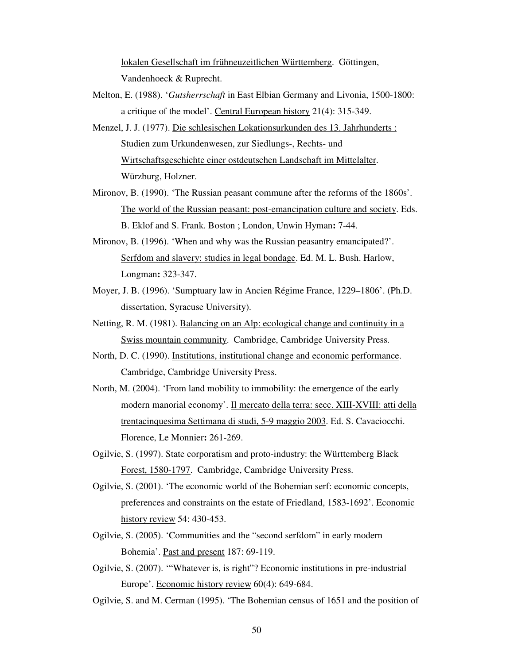lokalen Gesellschaft im frühneuzeitlichen Württemberg. Göttingen, Vandenhoeck & Ruprecht.

- Melton, E. (1988). '*Gutsherrschaft* in East Elbian Germany and Livonia, 1500-1800: a critique of the model'. Central European history 21(4): 315-349.
- Menzel, J. J. (1977). Die schlesischen Lokationsurkunden des 13. Jahrhunderts : Studien zum Urkundenwesen, zur Siedlungs-, Rechts- und Wirtschaftsgeschichte einer ostdeutschen Landschaft im Mittelalter. Würzburg, Holzner.
- Mironov, B. (1990). 'The Russian peasant commune after the reforms of the 1860s'. The world of the Russian peasant: post-emancipation culture and society. Eds. B. Eklof and S. Frank. Boston ; London, Unwin Hyman**:** 7-44.
- Mironov, B. (1996). 'When and why was the Russian peasantry emancipated?'. Serfdom and slavery: studies in legal bondage. Ed. M. L. Bush. Harlow, Longman**:** 323-347.
- Moyer, J. B. (1996). 'Sumptuary law in Ancien Régime France, 1229–1806'. (Ph.D. dissertation, Syracuse University).
- Netting, R. M. (1981). Balancing on an Alp: ecological change and continuity in a Swiss mountain community. Cambridge, Cambridge University Press.
- North, D. C. (1990). Institutions, institutional change and economic performance. Cambridge, Cambridge University Press.
- North, M. (2004). 'From land mobility to immobility: the emergence of the early modern manorial economy'. Il mercato della terra: secc. XIII-XVIII: atti della trentacinquesima Settimana di studi, 5-9 maggio 2003. Ed. S. Cavaciocchi. Florence, Le Monnier**:** 261-269.
- Ogilvie, S. (1997). State corporatism and proto-industry: the Württemberg Black Forest, 1580-1797. Cambridge, Cambridge University Press.
- Ogilvie, S. (2001). 'The economic world of the Bohemian serf: economic concepts, preferences and constraints on the estate of Friedland, 1583-1692'. Economic history review 54: 430-453.
- Ogilvie, S. (2005). 'Communities and the "second serfdom" in early modern Bohemia'. Past and present 187: 69-119.
- Ogilvie, S. (2007). '"Whatever is, is right"? Economic institutions in pre-industrial Europe'. Economic history review 60(4): 649-684.
- Ogilvie, S. and M. Cerman (1995). 'The Bohemian census of 1651 and the position of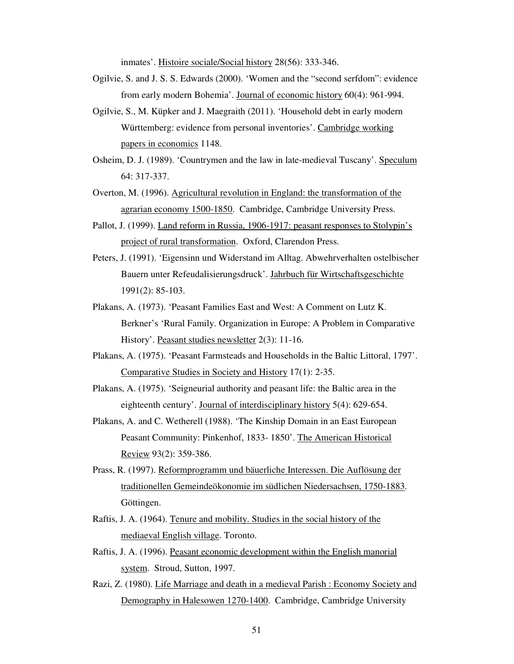inmates'. Histoire sociale/Social history 28(56): 333-346.

- Ogilvie, S. and J. S. S. Edwards (2000). 'Women and the "second serfdom": evidence from early modern Bohemia'. Journal of economic history 60(4): 961-994.
- Ogilvie, S., M. Küpker and J. Maegraith (2011). 'Household debt in early modern Württemberg: evidence from personal inventories'. Cambridge working papers in economics 1148.
- Osheim, D. J. (1989). 'Countrymen and the law in late-medieval Tuscany'. Speculum 64: 317-337.
- Overton, M. (1996). Agricultural revolution in England: the transformation of the agrarian economy 1500-1850. Cambridge, Cambridge University Press.
- Pallot, J. (1999). Land reform in Russia, 1906-1917: peasant responses to Stolypin's project of rural transformation. Oxford, Clarendon Press.
- Peters, J. (1991). 'Eigensinn und Widerstand im Alltag. Abwehrverhalten ostelbischer Bauern unter Refeudalisierungsdruck'. Jahrbuch für Wirtschaftsgeschichte 1991(2): 85-103.
- Plakans, A. (1973). 'Peasant Families East and West: A Comment on Lutz K. Berkner's 'Rural Family. Organization in Europe: A Problem in Comparative History'. Peasant studies newsletter 2(3): 11-16.
- Plakans, A. (1975). 'Peasant Farmsteads and Households in the Baltic Littoral, 1797'. Comparative Studies in Society and History 17(1): 2-35.
- Plakans, A. (1975). 'Seigneurial authority and peasant life: the Baltic area in the eighteenth century'. Journal of interdisciplinary history 5(4): 629-654.
- Plakans, A. and C. Wetherell (1988). 'The Kinship Domain in an East European Peasant Community: Pinkenhof, 1833- 1850'. The American Historical Review 93(2): 359-386.
- Prass, R. (1997). Reformprogramm und bäuerliche Interessen. Die Auflösung der traditionellen Gemeindeökonomie im südlichen Niedersachsen, 1750-1883. Göttingen.
- Raftis, J. A. (1964). Tenure and mobility. Studies in the social history of the mediaeval English village. Toronto.
- Raftis, J. A. (1996). Peasant economic development within the English manorial system. Stroud, Sutton, 1997.
- Razi, Z. (1980). Life Marriage and death in a medieval Parish : Economy Society and Demography in Halesowen 1270-1400. Cambridge, Cambridge University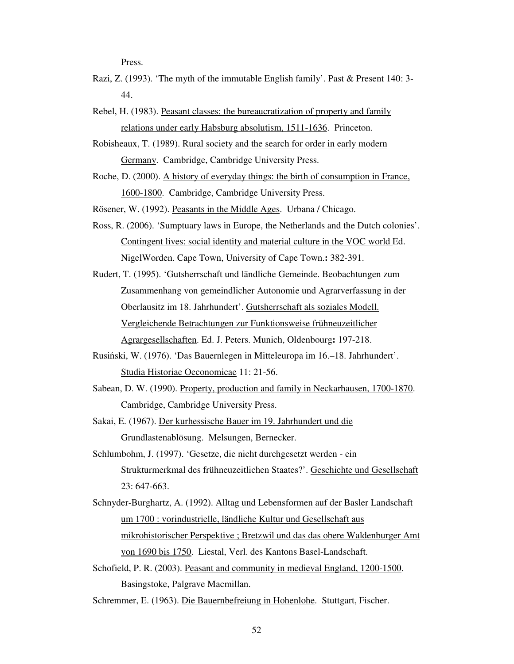Press.

- Razi, Z. (1993). 'The myth of the immutable English family'. Past & Present 140: 3-44.
- Rebel, H. (1983). Peasant classes: the bureaucratization of property and family relations under early Habsburg absolutism, 1511-1636. Princeton.

Robisheaux, T. (1989). Rural society and the search for order in early modern Germany. Cambridge, Cambridge University Press.

Roche, D. (2000). A history of everyday things: the birth of consumption in France, 1600-1800. Cambridge, Cambridge University Press.

Rösener, W. (1992). Peasants in the Middle Ages. Urbana / Chicago.

- Ross, R. (2006). 'Sumptuary laws in Europe, the Netherlands and the Dutch colonies'. Contingent lives: social identity and material culture in the VOC world Ed. NigelWorden. Cape Town, University of Cape Town.**:** 382-391.
- Rudert, T. (1995). 'Gutsherrschaft und ländliche Gemeinde. Beobachtungen zum Zusammenhang von gemeindlicher Autonomie und Agrarverfassung in der Oberlausitz im 18. Jahrhundert'. Gutsherrschaft als soziales Modell. Vergleichende Betrachtungen zur Funktionsweise frühneuzeitlicher Agrargesellschaften. Ed. J. Peters. Munich, Oldenbourg**:** 197-218.
- Rusiński, W. (1976). 'Das Bauernlegen in Mitteleuropa im 16.–18. Jahrhundert'. Studia Historiae Oeconomicae 11: 21-56.
- Sabean, D. W. (1990). Property, production and family in Neckarhausen, 1700-1870. Cambridge, Cambridge University Press.
- Sakai, E. (1967). Der kurhessische Bauer im 19. Jahrhundert und die Grundlastenablösung. Melsungen, Bernecker.
- Schlumbohm, J. (1997). 'Gesetze, die nicht durchgesetzt werden ein Strukturmerkmal des frühneuzeitlichen Staates?'. Geschichte und Gesellschaft 23: 647-663.
- Schnyder-Burghartz, A. (1992). Alltag und Lebensformen auf der Basler Landschaft um 1700 : vorindustrielle, ländliche Kultur und Gesellschaft aus mikrohistorischer Perspektive ; Bretzwil und das das obere Waldenburger Amt von 1690 bis 1750. Liestal, Verl. des Kantons Basel-Landschaft.
- Schofield, P. R. (2003). Peasant and community in medieval England, 1200-1500. Basingstoke, Palgrave Macmillan.
- Schremmer, E. (1963). Die Bauernbefreiung in Hohenlohe. Stuttgart, Fischer.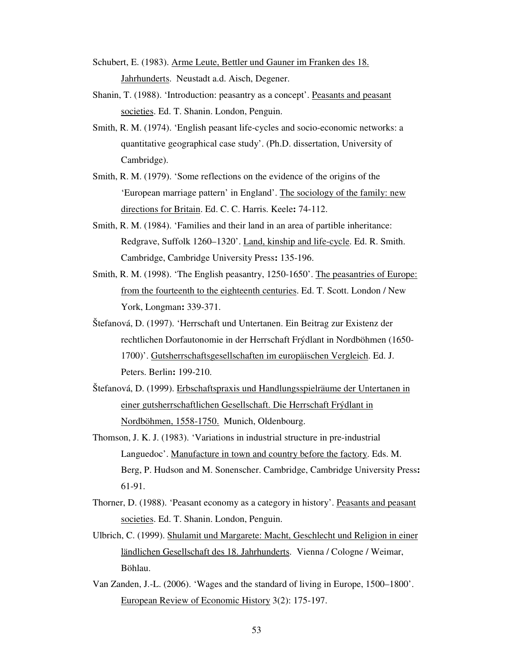- Schubert, E. (1983). Arme Leute, Bettler und Gauner im Franken des 18. Jahrhunderts. Neustadt a.d. Aisch, Degener.
- Shanin, T. (1988). 'Introduction: peasantry as a concept'. Peasants and peasant societies. Ed. T. Shanin. London, Penguin.
- Smith, R. M. (1974). 'English peasant life-cycles and socio-economic networks: a quantitative geographical case study'. (Ph.D. dissertation, University of Cambridge).
- Smith, R. M. (1979). 'Some reflections on the evidence of the origins of the 'European marriage pattern' in England'. The sociology of the family: new directions for Britain. Ed. C. C. Harris. Keele**:** 74-112.
- Smith, R. M. (1984). 'Families and their land in an area of partible inheritance: Redgrave, Suffolk 1260–1320'. Land, kinship and life-cycle. Ed. R. Smith. Cambridge, Cambridge University Press**:** 135-196.
- Smith, R. M. (1998). 'The English peasantry, 1250-1650'. The peasantries of Europe: from the fourteenth to the eighteenth centuries. Ed. T. Scott. London / New York, Longman**:** 339-371.
- Štefanová, D. (1997). 'Herrschaft und Untertanen. Ein Beitrag zur Existenz der rechtlichen Dorfautonomie in der Herrschaft Frýdlant in Nordböhmen (1650- 1700)'. Gutsherrschaftsgesellschaften im europäischen Vergleich. Ed. J. Peters. Berlin**:** 199-210.
- Štefanová, D. (1999). Erbschaftspraxis und Handlungsspielräume der Untertanen in einer gutsherrschaftlichen Gesellschaft. Die Herrschaft Frýdlant in Nordböhmen, 1558-1750. Munich, Oldenbourg.
- Thomson, J. K. J. (1983). 'Variations in industrial structure in pre-industrial Languedoc'. Manufacture in town and country before the factory. Eds. M. Berg, P. Hudson and M. Sonenscher. Cambridge, Cambridge University Press**:**  61-91.
- Thorner, D. (1988). 'Peasant economy as a category in history'. Peasants and peasant societies. Ed. T. Shanin. London, Penguin.
- Ulbrich, C. (1999). Shulamit und Margarete: Macht, Geschlecht und Religion in einer ländlichen Gesellschaft des 18. Jahrhunderts. Vienna / Cologne / Weimar, Böhlau.
- Van Zanden, J.-L. (2006). 'Wages and the standard of living in Europe, 1500–1800'. European Review of Economic History 3(2): 175-197.